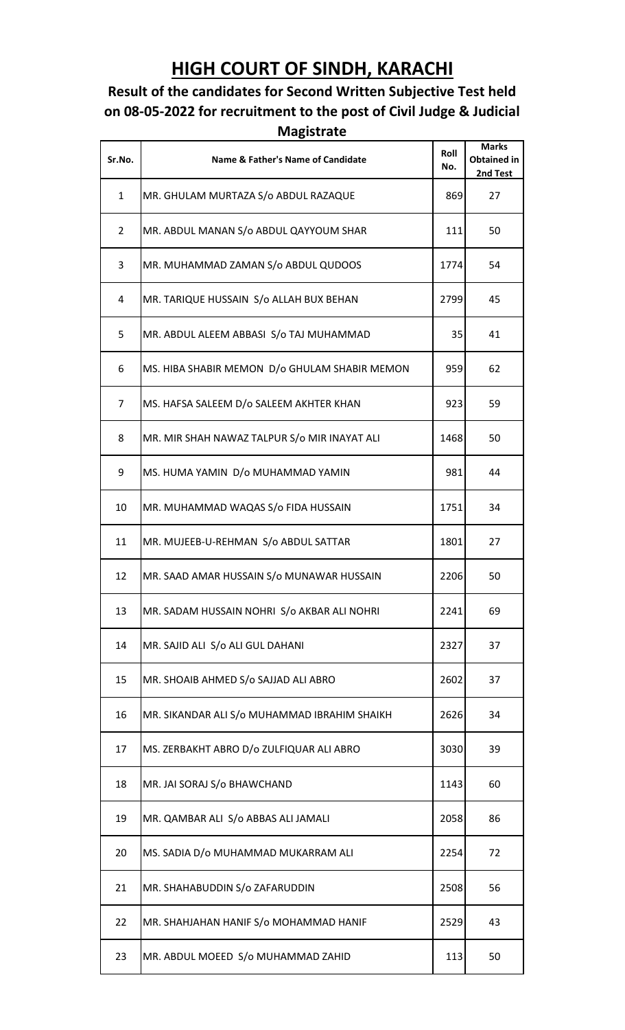## **HIGH COURT OF SINDH, KARACHI**

## **Result of the candidates for Second Written Subjective Test held on 08-05-2022 for recruitment to the post of Civil Judge & Judicial Magistrate**

| Sr.No.         | <b>Name &amp; Father's Name of Candidate</b>  | Roll<br>No. | <b>Marks</b><br><b>Obtained in</b><br>2nd Test |
|----------------|-----------------------------------------------|-------------|------------------------------------------------|
| $\mathbf{1}$   | MR. GHULAM MURTAZA S/o ABDUL RAZAQUE          | 869         | 27                                             |
| $\overline{2}$ | MR. ABDUL MANAN S/o ABDUL QAYYOUM SHAR        | 111         | 50                                             |
| 3              | MR. MUHAMMAD ZAMAN S/o ABDUL QUDOOS           | 1774        | 54                                             |
| 4              | MR. TARIQUE HUSSAIN S/o ALLAH BUX BEHAN       | 2799        | 45                                             |
| 5              | MR. ABDUL ALEEM ABBASI S/o TAJ MUHAMMAD       | 35          | 41                                             |
| 6              | MS. HIBA SHABIR MEMON D/o GHULAM SHABIR MEMON | 959         | 62                                             |
| $\overline{7}$ | MS. HAFSA SALEEM D/o SALEEM AKHTER KHAN       | 923         | 59                                             |
| 8              | MR. MIR SHAH NAWAZ TALPUR S/o MIR INAYAT ALI  | 1468        | 50                                             |
| 9              | MS. HUMA YAMIN D/o MUHAMMAD YAMIN             | 981         | 44                                             |
| 10             | MR. MUHAMMAD WAQAS S/o FIDA HUSSAIN           | 1751        | 34                                             |
| 11             | MR. MUJEEB-U-REHMAN S/o ABDUL SATTAR          | 1801        | 27                                             |
| 12             | MR. SAAD AMAR HUSSAIN S/o MUNAWAR HUSSAIN     | 2206        | 50                                             |
| 13             | MR. SADAM HUSSAIN NOHRI S/o AKBAR ALI NOHRI   | 2241        | 69                                             |
| 14             | MR. SAJID ALI S/o ALI GUL DAHANI              | 2327        | 37                                             |
| 15             | MR. SHOAIB AHMED S/o SAJJAD ALI ABRO          | 2602        | 37                                             |
| 16             | MR. SIKANDAR ALI S/o MUHAMMAD IBRAHIM SHAIKH  | 2626        | 34                                             |
| 17             | MS. ZERBAKHT ABRO D/o ZULFIQUAR ALI ABRO      | 3030        | 39                                             |
| 18             | MR. JAI SORAJ S/o BHAWCHAND                   | 1143        | 60                                             |
| 19             | MR. QAMBAR ALI S/o ABBAS ALI JAMALI           | 2058        | 86                                             |
| 20             | MS. SADIA D/o MUHAMMAD MUKARRAM ALI           | 2254        | 72                                             |
| 21             | MR. SHAHABUDDIN S/o ZAFARUDDIN                | 2508        | 56                                             |
| 22             | MR. SHAHJAHAN HANIF S/o MOHAMMAD HANIF        | 2529        | 43                                             |
| 23             | MR. ABDUL MOEED S/o MUHAMMAD ZAHID            | 113         | 50                                             |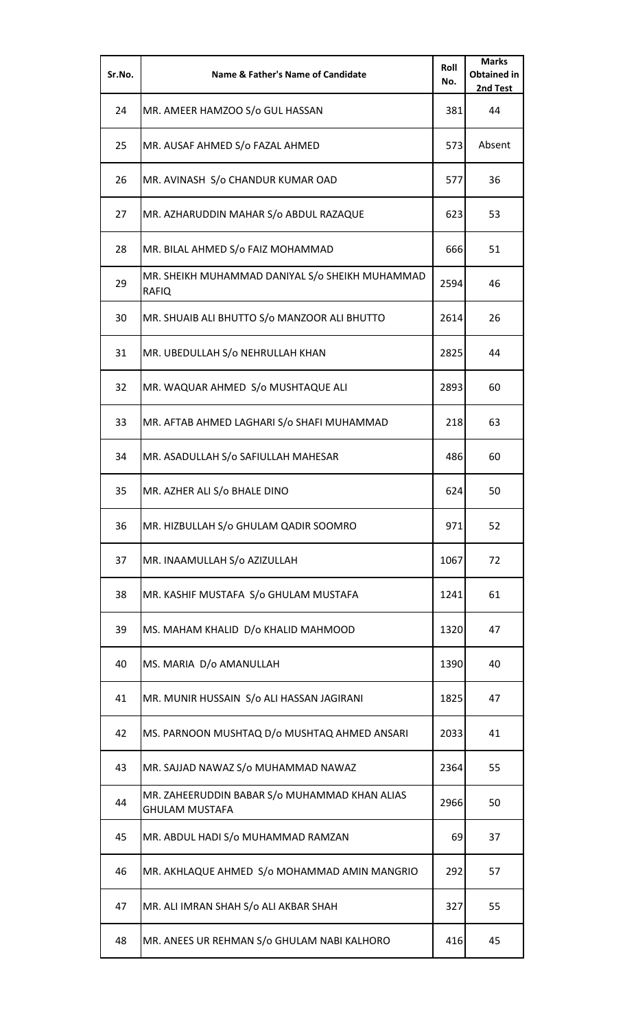| Sr.No. | Name & Father's Name of Candidate                                      | Roll<br>No. | <b>Marks</b><br><b>Obtained in</b><br>2nd Test |
|--------|------------------------------------------------------------------------|-------------|------------------------------------------------|
| 24     | MR. AMEER HAMZOO S/o GUL HASSAN                                        | 381         | 44                                             |
| 25     | MR. AUSAF AHMED S/o FAZAL AHMED                                        | 573         | Absent                                         |
| 26     | MR. AVINASH S/o CHANDUR KUMAR OAD                                      | 577         | 36                                             |
| 27     | MR. AZHARUDDIN MAHAR S/o ABDUL RAZAQUE                                 | 623         | 53                                             |
| 28     | MR. BILAL AHMED S/o FAIZ MOHAMMAD                                      | 666         | 51                                             |
| 29     | MR. SHEIKH MUHAMMAD DANIYAL S/o SHEIKH MUHAMMAD<br><b>RAFIQ</b>        | 2594        | 46                                             |
| 30     | MR. SHUAIB ALI BHUTTO S/o MANZOOR ALI BHUTTO                           | 2614        | 26                                             |
| 31     | MR. UBEDULLAH S/o NEHRULLAH KHAN                                       | 2825        | 44                                             |
| 32     | MR. WAQUAR AHMED S/o MUSHTAQUE ALI                                     | 2893        | 60                                             |
| 33     | MR. AFTAB AHMED LAGHARI S/o SHAFI MUHAMMAD                             | 218         | 63                                             |
| 34     | MR. ASADULLAH S/o SAFIULLAH MAHESAR                                    | 486         | 60                                             |
| 35     | MR. AZHER ALI S/o BHALE DINO                                           | 624         | 50                                             |
| 36     | MR. HIZBULLAH S/o GHULAM QADIR SOOMRO                                  | 971         | 52                                             |
| 37     | MR. INAAMULLAH S/o AZIZULLAH                                           | 1067        | 72                                             |
| 38     | MR. KASHIF MUSTAFA S/o GHULAM MUSTAFA                                  | 1241        | 61                                             |
| 39     | MS. MAHAM KHALID D/o KHALID MAHMOOD                                    | 1320        | 47                                             |
| 40     | MS. MARIA D/o AMANULLAH                                                | 1390        | 40                                             |
| 41     | MR. MUNIR HUSSAIN S/o ALI HASSAN JAGIRANI                              | 1825        | 47                                             |
| 42     | MS. PARNOON MUSHTAQ D/o MUSHTAQ AHMED ANSARI                           | 2033        | 41                                             |
| 43     | MR. SAJJAD NAWAZ S/o MUHAMMAD NAWAZ                                    | 2364        | 55                                             |
| 44     | MR. ZAHEERUDDIN BABAR S/o MUHAMMAD KHAN ALIAS<br><b>GHULAM MUSTAFA</b> | 2966        | 50                                             |
| 45     | MR. ABDUL HADI S/o MUHAMMAD RAMZAN                                     | 69          | 37                                             |
| 46     | MR. AKHLAQUE AHMED S/o MOHAMMAD AMIN MANGRIO                           | 292         | 57                                             |
| 47     | MR. ALI IMRAN SHAH S/o ALI AKBAR SHAH                                  | 327         | 55                                             |
| 48     | MR. ANEES UR REHMAN S/o GHULAM NABI KALHORO                            | 416         | 45                                             |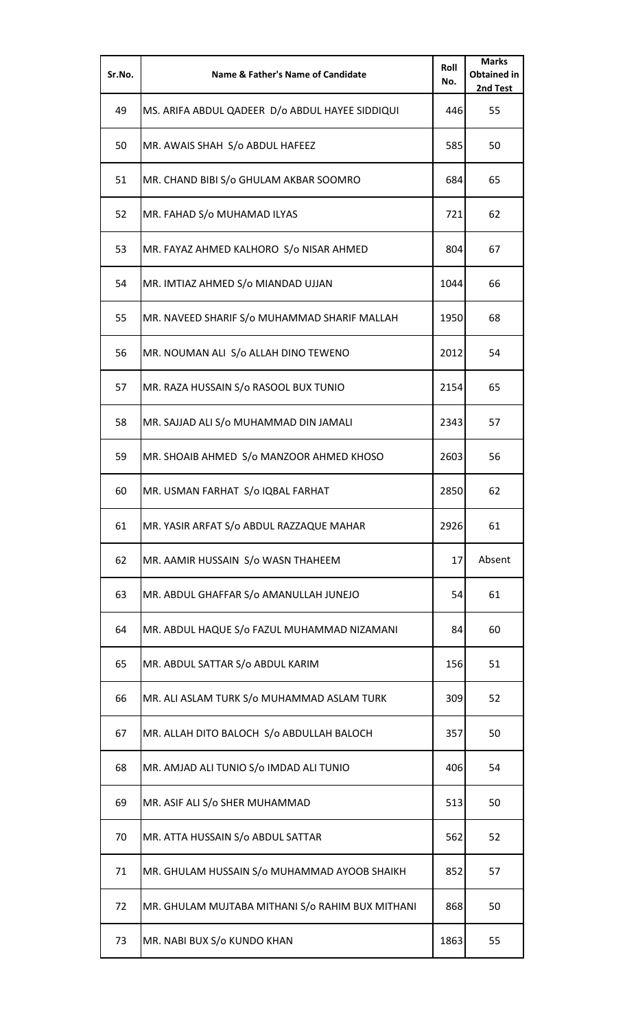| Sr.No. | Name & Father's Name of Candidate                | Roll<br>No. | <b>Marks</b><br><b>Obtained in</b><br>2nd Test |
|--------|--------------------------------------------------|-------------|------------------------------------------------|
| 49     | MS. ARIFA ABDUL QADEER D/o ABDUL HAYEE SIDDIQUI  | 446         | 55                                             |
| 50     | MR. AWAIS SHAH S/o ABDUL HAFEEZ                  | 585         | 50                                             |
| 51     | MR. CHAND BIBI S/o GHULAM AKBAR SOOMRO           | 684         | 65                                             |
| 52     | MR. FAHAD S/o MUHAMAD ILYAS                      | 721         | 62                                             |
| 53     | MR. FAYAZ AHMED KALHORO S/o NISAR AHMED          | 804         | 67                                             |
| 54     | MR. IMTIAZ AHMED S/o MIANDAD UJJAN               | 1044        | 66                                             |
| 55     | MR. NAVEED SHARIF S/o MUHAMMAD SHARIF MALLAH     | 1950        | 68                                             |
| 56     | MR. NOUMAN ALI S/o ALLAH DINO TEWENO             | 2012        | 54                                             |
| 57     | MR. RAZA HUSSAIN S/o RASOOL BUX TUNIO            | 2154        | 65                                             |
| 58     | MR. SAJJAD ALI S/o MUHAMMAD DIN JAMALI           | 2343        | 57                                             |
| 59     | MR. SHOAIB AHMED S/o MANZOOR AHMED KHOSO         | 2603        | 56                                             |
| 60     | MR. USMAN FARHAT S/o IQBAL FARHAT                | 2850        | 62                                             |
| 61     | MR. YASIR ARFAT S/o ABDUL RAZZAQUE MAHAR         | 2926        | 61                                             |
| 62     | MR. AAMIR HUSSAIN S/o WASN THAHEEM               | 17          | Absent                                         |
| 63     | MR. ABDUL GHAFFAR S/o AMANULLAH JUNEJO           | 54          | 61                                             |
| 64     | MR. ABDUL HAQUE S/o FAZUL MUHAMMAD NIZAMANI      | 84          | 60                                             |
| 65     | MR. ABDUL SATTAR S/o ABDUL KARIM                 | 156         | 51                                             |
| 66     | MR. ALI ASLAM TURK S/o MUHAMMAD ASLAM TURK       | 309         | 52                                             |
| 67     | MR. ALLAH DITO BALOCH S/o ABDULLAH BALOCH        | 357         | 50                                             |
| 68     | MR. AMJAD ALI TUNIO S/o IMDAD ALI TUNIO          | 406         | 54                                             |
| 69     | MR. ASIF ALI S/o SHER MUHAMMAD                   | 513         | 50                                             |
| 70     | MR. ATTA HUSSAIN S/o ABDUL SATTAR                | 562         | 52                                             |
| 71     | MR. GHULAM HUSSAIN S/o MUHAMMAD AYOOB SHAIKH     | 852         | 57                                             |
| 72     | MR. GHULAM MUJTABA MITHANI S/o RAHIM BUX MITHANI | 868         | 50                                             |
| 73     | MR. NABI BUX S/o KUNDO KHAN                      | 1863        | 55                                             |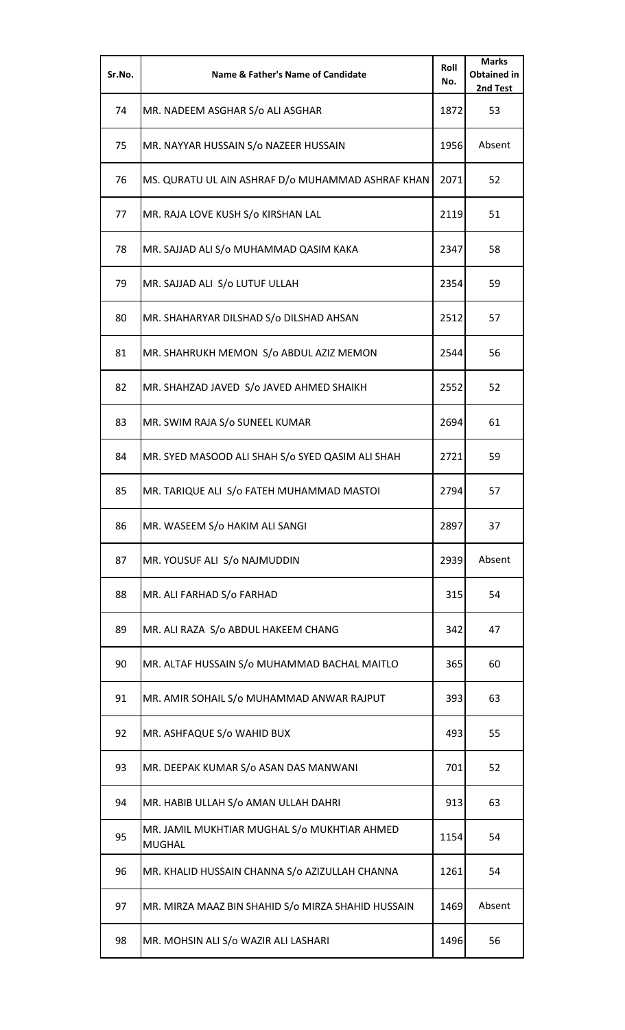| Sr.No. | <b>Name &amp; Father's Name of Candidate</b>                  | Roll<br>No. | <b>Marks</b><br><b>Obtained in</b><br>2nd Test |
|--------|---------------------------------------------------------------|-------------|------------------------------------------------|
| 74     | MR. NADEEM ASGHAR S/o ALI ASGHAR                              | 1872        | 53                                             |
| 75     | MR. NAYYAR HUSSAIN S/o NAZEER HUSSAIN                         | 1956        | Absent                                         |
| 76     | MS. QURATU UL AIN ASHRAF D/o MUHAMMAD ASHRAF KHAN             | 2071        | 52                                             |
| 77     | MR. RAJA LOVE KUSH S/o KIRSHAN LAL                            | 2119        | 51                                             |
| 78     | MR. SAJJAD ALI S/o MUHAMMAD QASIM KAKA                        | 2347        | 58                                             |
| 79     | MR. SAJJAD ALI S/o LUTUF ULLAH                                | 2354        | 59                                             |
| 80     | MR. SHAHARYAR DILSHAD S/o DILSHAD AHSAN                       | 2512        | 57                                             |
| 81     | MR. SHAHRUKH MEMON S/o ABDUL AZIZ MEMON                       | 2544        | 56                                             |
| 82     | MR. SHAHZAD JAVED S/o JAVED AHMED SHAIKH                      | 2552        | 52                                             |
| 83     | MR. SWIM RAJA S/o SUNEEL KUMAR                                | 2694        | 61                                             |
| 84     | MR. SYED MASOOD ALI SHAH S/o SYED QASIM ALI SHAH              | 2721        | 59                                             |
| 85     | MR. TARIQUE ALI S/o FATEH MUHAMMAD MASTOI                     | 2794        | 57                                             |
| 86     | MR. WASEEM S/o HAKIM ALI SANGI                                | 2897        | 37                                             |
| 87     | MR. YOUSUF ALI S/o NAJMUDDIN                                  | 2939        | Absent                                         |
| 88     | MR. ALI FARHAD S/o FARHAD                                     | 315         | 54                                             |
| 89     | MR. ALI RAZA S/o ABDUL HAKEEM CHANG                           | 342         | 47                                             |
| 90     | MR. ALTAF HUSSAIN S/o MUHAMMAD BACHAL MAITLO                  | 365         | 60                                             |
| 91     | MR. AMIR SOHAIL S/o MUHAMMAD ANWAR RAJPUT                     | 393         | 63                                             |
| 92     | MR. ASHFAQUE S/o WAHID BUX                                    | 493         | 55                                             |
| 93     | MR. DEEPAK KUMAR S/o ASAN DAS MANWANI                         | 701         | 52                                             |
| 94     | MR. HABIB ULLAH S/o AMAN ULLAH DAHRI                          | 913         | 63                                             |
| 95     | MR. JAMIL MUKHTIAR MUGHAL S/o MUKHTIAR AHMED<br><b>MUGHAL</b> | 1154        | 54                                             |
| 96     | MR. KHALID HUSSAIN CHANNA S/o AZIZULLAH CHANNA                | 1261        | 54                                             |
| 97     | MR. MIRZA MAAZ BIN SHAHID S/o MIRZA SHAHID HUSSAIN            | 1469        | Absent                                         |
| 98     | MR. MOHSIN ALI S/o WAZIR ALI LASHARI                          | 1496        | 56                                             |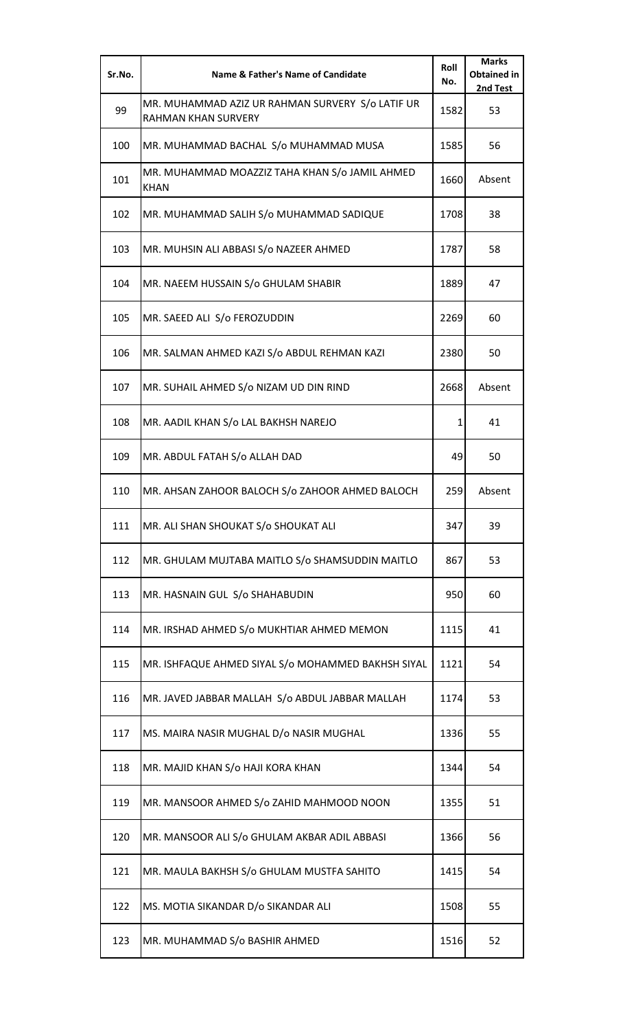| Sr.No. | <b>Name &amp; Father's Name of Candidate</b>                            | Roll<br>No.  | <b>Marks</b><br><b>Obtained in</b><br>2nd Test |
|--------|-------------------------------------------------------------------------|--------------|------------------------------------------------|
| 99     | MR. MUHAMMAD AZIZ UR RAHMAN SURVERY S/o LATIF UR<br>RAHMAN KHAN SURVERY | 1582         | 53                                             |
| 100    | MR. MUHAMMAD BACHAL S/o MUHAMMAD MUSA                                   | 1585         | 56                                             |
| 101    | MR. MUHAMMAD MOAZZIZ TAHA KHAN S/o JAMIL AHMED<br><b>KHAN</b>           | 1660         | Absent                                         |
| 102    | MR. MUHAMMAD SALIH S/o MUHAMMAD SADIQUE                                 | 1708         | 38                                             |
| 103    | MR. MUHSIN ALI ABBASI S/o NAZEER AHMED                                  | 1787         | 58                                             |
| 104    | MR. NAEEM HUSSAIN S/o GHULAM SHABIR                                     | 1889         | 47                                             |
| 105    | MR. SAEED ALI S/o FEROZUDDIN                                            | 2269         | 60                                             |
| 106    | MR. SALMAN AHMED KAZI S/o ABDUL REHMAN KAZI                             | 2380         | 50                                             |
| 107    | MR. SUHAIL AHMED S/o NIZAM UD DIN RIND                                  | 2668         | Absent                                         |
| 108    | MR. AADIL KHAN S/o LAL BAKHSH NAREJO                                    | $\mathbf{1}$ | 41                                             |
| 109    | MR. ABDUL FATAH S/o ALLAH DAD                                           | 49           | 50                                             |
| 110    | MR. AHSAN ZAHOOR BALOCH S/o ZAHOOR AHMED BALOCH                         | 259          | Absent                                         |
| 111    | MR. ALI SHAN SHOUKAT S/o SHOUKAT ALI                                    | 347          | 39                                             |
| 112    | MR. GHULAM MUJTABA MAITLO S/o SHAMSUDDIN MAITLO                         | 867          | 53                                             |
| 113    | MR. HASNAIN GUL S/o SHAHABUDIN                                          | 950          | 60                                             |
| 114    | MR. IRSHAD AHMED S/o MUKHTIAR AHMED MEMON                               | 1115         | 41                                             |
| 115    | MR. ISHFAQUE AHMED SIYAL S/o MOHAMMED BAKHSH SIYAL                      | 1121         | 54                                             |
| 116    | MR. JAVED JABBAR MALLAH S/o ABDUL JABBAR MALLAH                         | 1174         | 53                                             |
| 117    | MS. MAIRA NASIR MUGHAL D/o NASIR MUGHAL                                 | 1336         | 55                                             |
| 118    | MR. MAJID KHAN S/o HAJI KORA KHAN                                       | 1344         | 54                                             |
| 119    | MR. MANSOOR AHMED S/o ZAHID MAHMOOD NOON                                | 1355         | 51                                             |
| 120    | MR. MANSOOR ALI S/o GHULAM AKBAR ADIL ABBASI                            | 1366         | 56                                             |
| 121    | MR. MAULA BAKHSH S/o GHULAM MUSTFA SAHITO                               | 1415         | 54                                             |
| 122    | MS. MOTIA SIKANDAR D/o SIKANDAR ALI                                     | 1508         | 55                                             |
| 123    | MR. MUHAMMAD S/o BASHIR AHMED                                           | 1516         | 52                                             |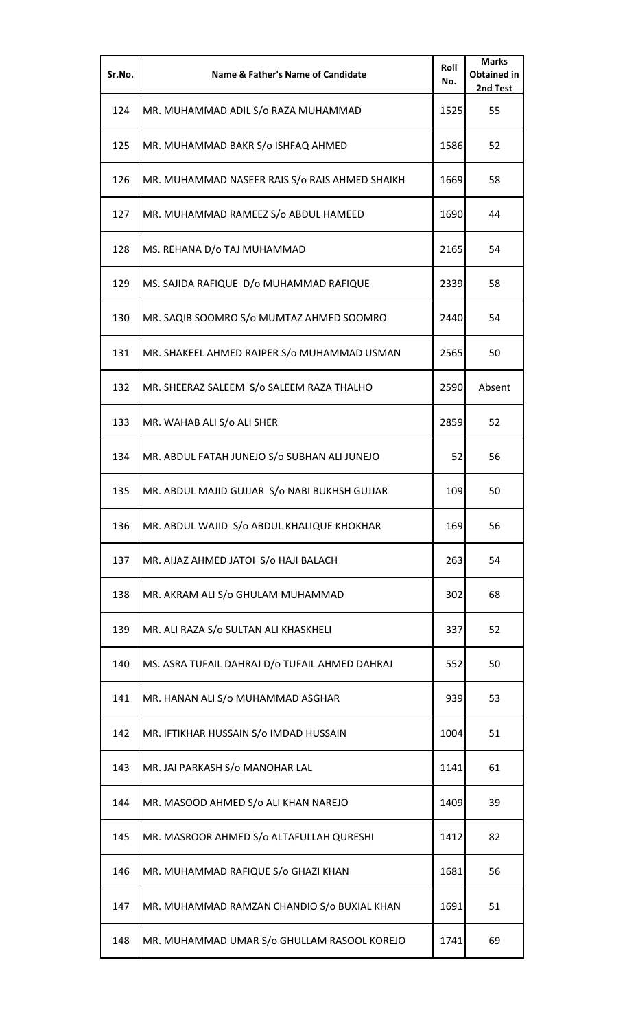| Sr.No. | Name & Father's Name of Candidate              | Roll<br>No. | <b>Marks</b><br><b>Obtained in</b><br>2nd Test |
|--------|------------------------------------------------|-------------|------------------------------------------------|
| 124    | MR. MUHAMMAD ADIL S/o RAZA MUHAMMAD            | 1525        | 55                                             |
| 125    | MR. MUHAMMAD BAKR S/o ISHFAQ AHMED             | 1586        | 52                                             |
| 126    | MR. MUHAMMAD NASEER RAIS S/o RAIS AHMED SHAIKH | 1669        | 58                                             |
| 127    | MR. MUHAMMAD RAMEEZ S/o ABDUL HAMEED           | 1690        | 44                                             |
| 128    | MS. REHANA D/o TAJ MUHAMMAD                    | 2165        | 54                                             |
| 129    | MS. SAJIDA RAFIQUE D/o MUHAMMAD RAFIQUE        | 2339        | 58                                             |
| 130    | MR. SAQIB SOOMRO S/o MUMTAZ AHMED SOOMRO       | 2440        | 54                                             |
| 131    | MR. SHAKEEL AHMED RAJPER S/o MUHAMMAD USMAN    | 2565        | 50                                             |
| 132    | MR. SHEERAZ SALEEM S/o SALEEM RAZA THALHO      | 2590        | Absent                                         |
| 133    | MR. WAHAB ALI S/o ALI SHER                     | 2859        | 52                                             |
| 134    | MR. ABDUL FATAH JUNEJO S/o SUBHAN ALI JUNEJO   | 52          | 56                                             |
| 135    | MR. ABDUL MAJID GUJJAR S/o NABI BUKHSH GUJJAR  | 109         | 50                                             |
| 136    | MR. ABDUL WAJID S/o ABDUL KHALIQUE KHOKHAR     | 169         | 56                                             |
| 137    | MR. AIJAZ AHMED JATOI S/o HAJI BALACH          | 263         | 54                                             |
| 138    | MR. AKRAM ALI S/o GHULAM MUHAMMAD              | 302         | 68                                             |
| 139    | MR. ALI RAZA S/o SULTAN ALI KHASKHELI          | 337         | 52                                             |
| 140    | MS. ASRA TUFAIL DAHRAJ D/o TUFAIL AHMED DAHRAJ | 552         | 50                                             |
| 141    | MR. HANAN ALI S/o MUHAMMAD ASGHAR              | 939         | 53                                             |
| 142    | MR. IFTIKHAR HUSSAIN S/o IMDAD HUSSAIN         | 1004        | 51                                             |
| 143    | MR. JAI PARKASH S/o MANOHAR LAL                | 1141        | 61                                             |
| 144    | MR. MASOOD AHMED S/o ALI KHAN NAREJO           | 1409        | 39                                             |
| 145    | MR. MASROOR AHMED S/o ALTAFULLAH QURESHI       | 1412        | 82                                             |
| 146    | MR. MUHAMMAD RAFIQUE S/o GHAZI KHAN            | 1681        | 56                                             |
| 147    | MR. MUHAMMAD RAMZAN CHANDIO S/o BUXIAL KHAN    | 1691        | 51                                             |
| 148    | MR. MUHAMMAD UMAR S/o GHULLAM RASOOL KOREJO    | 1741        | 69                                             |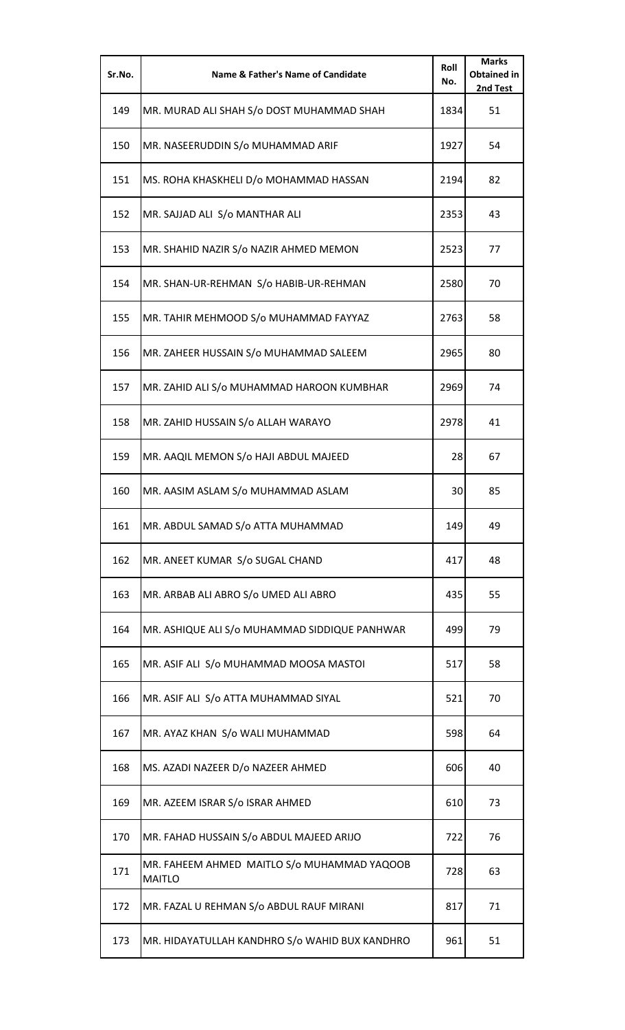| Sr.No. | <b>Name &amp; Father's Name of Candidate</b>                 | Roll<br>No. | <b>Marks</b><br><b>Obtained in</b><br>2nd Test |
|--------|--------------------------------------------------------------|-------------|------------------------------------------------|
| 149    | MR. MURAD ALI SHAH S/o DOST MUHAMMAD SHAH                    | 1834        | 51                                             |
| 150    | MR. NASEERUDDIN S/o MUHAMMAD ARIF                            | 1927        | 54                                             |
| 151    | MS. ROHA KHASKHELI D/o MOHAMMAD HASSAN                       | 2194        | 82                                             |
| 152    | MR. SAJJAD ALI S/o MANTHAR ALI                               | 2353        | 43                                             |
| 153    | MR. SHAHID NAZIR S/o NAZIR AHMED MEMON                       | 2523        | 77                                             |
| 154    | MR. SHAN-UR-REHMAN S/o HABIB-UR-REHMAN                       | 2580        | 70                                             |
| 155    | MR. TAHIR MEHMOOD S/o MUHAMMAD FAYYAZ                        | 2763        | 58                                             |
| 156    | MR. ZAHEER HUSSAIN S/o MUHAMMAD SALEEM                       | 2965        | 80                                             |
| 157    | MR. ZAHID ALI S/o MUHAMMAD HAROON KUMBHAR                    | 2969        | 74                                             |
| 158    | MR. ZAHID HUSSAIN S/o ALLAH WARAYO                           | 2978        | 41                                             |
| 159    | MR. AAQIL MEMON S/o HAJI ABDUL MAJEED                        | 28          | 67                                             |
| 160    | MR. AASIM ASLAM S/o MUHAMMAD ASLAM                           | 30          | 85                                             |
| 161    | MR. ABDUL SAMAD S/o ATTA MUHAMMAD                            | 149         | 49                                             |
| 162    | MR. ANEET KUMAR S/o SUGAL CHAND                              | 417         | 48                                             |
| 163    | MR. ARBAB ALI ABRO S/o UMED ALI ABRO                         | 435         | 55                                             |
| 164    | MR. ASHIQUE ALI S/o MUHAMMAD SIDDIQUE PANHWAR                | 499         | 79                                             |
| 165    | MR. ASIF ALI S/o MUHAMMAD MOOSA MASTOI                       | 517         | 58                                             |
| 166    | MR. ASIF ALI S/o ATTA MUHAMMAD SIYAL                         | 521         | 70                                             |
| 167    | MR. AYAZ KHAN S/o WALI MUHAMMAD                              | 598         | 64                                             |
| 168    | MS. AZADI NAZEER D/o NAZEER AHMED                            | 606         | 40                                             |
| 169    | MR. AZEEM ISRAR S/o ISRAR AHMED                              | 610         | 73                                             |
| 170    | MR. FAHAD HUSSAIN S/o ABDUL MAJEED ARIJO                     | 722         | 76                                             |
| 171    | MR. FAHEEM AHMED MAITLO S/o MUHAMMAD YAQOOB<br><b>MAITLO</b> | 728         | 63                                             |
| 172    | MR. FAZAL U REHMAN S/o ABDUL RAUF MIRANI                     | 817         | 71                                             |
| 173    | MR. HIDAYATULLAH KANDHRO S/o WAHID BUX KANDHRO               | 961         | 51                                             |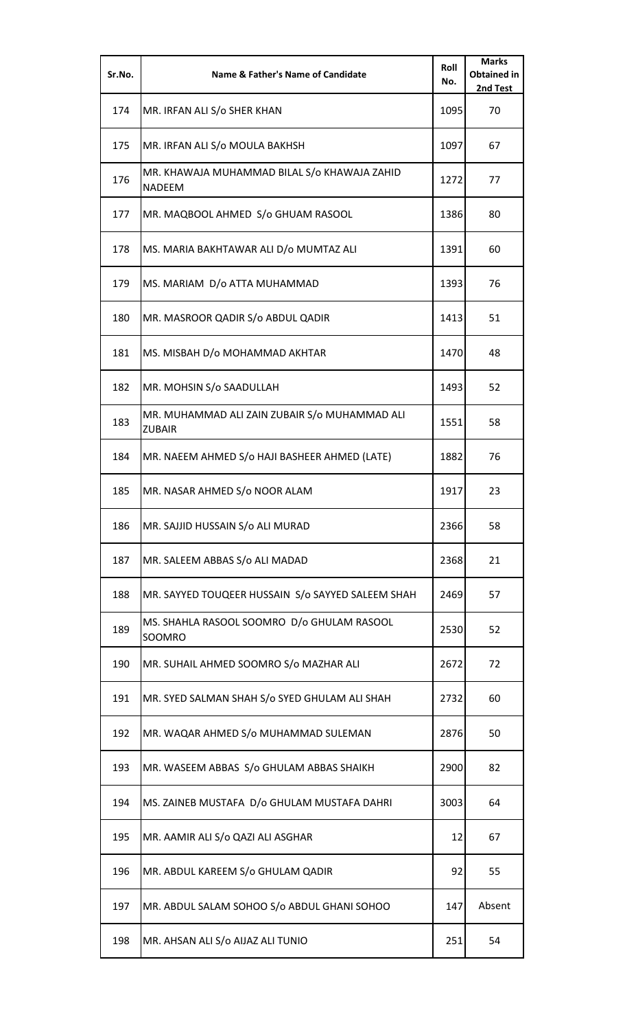| Sr.No. | <b>Name &amp; Father's Name of Candidate</b>                   | Roll<br>No. | <b>Marks</b><br><b>Obtained in</b><br>2nd Test |
|--------|----------------------------------------------------------------|-------------|------------------------------------------------|
| 174    | MR. IRFAN ALI S/o SHER KHAN                                    | 1095        | 70                                             |
| 175    | MR. IRFAN ALI S/o MOULA BAKHSH                                 | 1097        | 67                                             |
| 176    | MR. KHAWAJA MUHAMMAD BILAL S/o KHAWAJA ZAHID<br><b>NADEEM</b>  | 1272        | 77                                             |
| 177    | MR. MAQBOOL AHMED S/o GHUAM RASOOL                             | 1386        | 80                                             |
| 178    | MS. MARIA BAKHTAWAR ALI D/o MUMTAZ ALI                         | 1391        | 60                                             |
| 179    | MS. MARIAM D/o ATTA MUHAMMAD                                   | 1393        | 76                                             |
| 180    | MR. MASROOR QADIR S/o ABDUL QADIR                              | 1413        | 51                                             |
| 181    | MS. MISBAH D/o MOHAMMAD AKHTAR                                 | 1470        | 48                                             |
| 182    | MR. MOHSIN S/o SAADULLAH                                       | 1493        | 52                                             |
| 183    | MR. MUHAMMAD ALI ZAIN ZUBAIR S/o MUHAMMAD ALI<br><b>ZUBAIR</b> | 1551        | 58                                             |
| 184    | MR. NAEEM AHMED S/o HAJI BASHEER AHMED (LATE)                  | 1882        | 76                                             |
| 185    | MR. NASAR AHMED S/o NOOR ALAM                                  | 1917        | 23                                             |
| 186    | MR. SAJJID HUSSAIN S/o ALI MURAD                               | 2366        | 58                                             |
| 187    | MR. SALEEM ABBAS S/o ALI MADAD                                 | 2368        | 21                                             |
| 188    | MR. SAYYED TOUQEER HUSSAIN S/o SAYYED SALEEM SHAH              | 2469        | 57                                             |
| 189    | MS. SHAHLA RASOOL SOOMRO D/o GHULAM RASOOL<br>SOOMRO           | 2530        | 52                                             |
| 190    | MR. SUHAIL AHMED SOOMRO S/o MAZHAR ALI                         | 2672        | 72                                             |
| 191    | MR. SYED SALMAN SHAH S/o SYED GHULAM ALI SHAH                  | 2732        | 60                                             |
| 192    | MR. WAQAR AHMED S/o MUHAMMAD SULEMAN                           | 2876        | 50                                             |
| 193    | MR. WASEEM ABBAS S/o GHULAM ABBAS SHAIKH                       | 2900        | 82                                             |
| 194    | MS. ZAINEB MUSTAFA D/o GHULAM MUSTAFA DAHRI                    | 3003        | 64                                             |
| 195    | MR. AAMIR ALI S/o QAZI ALI ASGHAR                              | 12          | 67                                             |
| 196    | MR. ABDUL KAREEM S/o GHULAM QADIR                              | 92          | 55                                             |
| 197    | MR. ABDUL SALAM SOHOO S/o ABDUL GHANI SOHOO                    | 147         | Absent                                         |
| 198    | MR. AHSAN ALI S/o AIJAZ ALI TUNIO                              | 251         | 54                                             |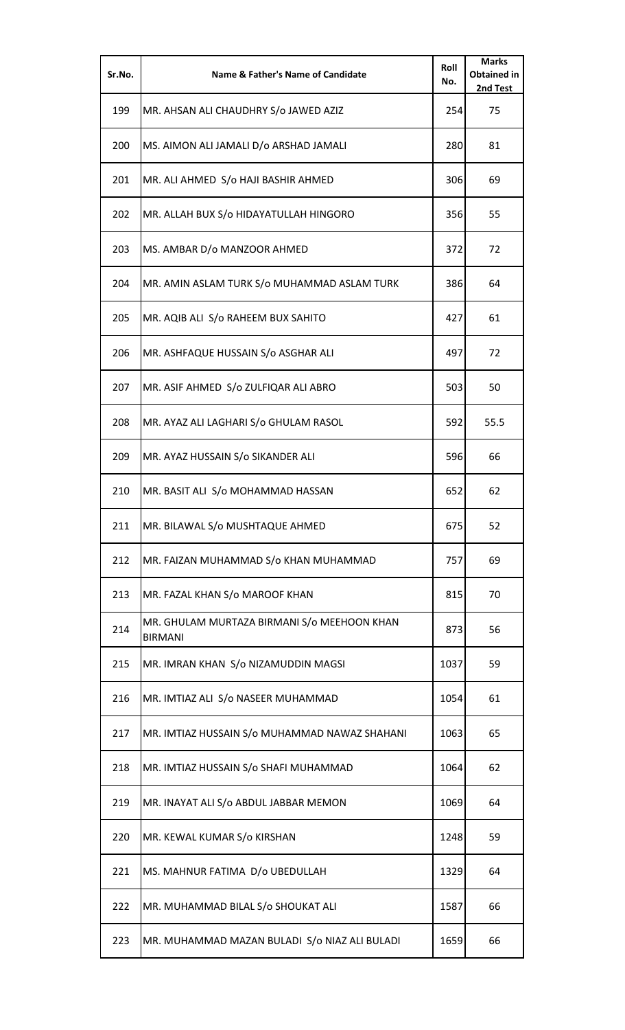| Sr.No. | <b>Name &amp; Father's Name of Candidate</b>                  | Roll<br>No. | <b>Marks</b><br><b>Obtained in</b><br>2nd Test |
|--------|---------------------------------------------------------------|-------------|------------------------------------------------|
| 199    | MR. AHSAN ALI CHAUDHRY S/o JAWED AZIZ                         | 254         | 75                                             |
| 200    | MS. AIMON ALI JAMALI D/o ARSHAD JAMALI                        | 280         | 81                                             |
| 201    | MR. ALI AHMED S/o HAJI BASHIR AHMED                           | 306         | 69                                             |
| 202    | MR. ALLAH BUX S/o HIDAYATULLAH HINGORO                        | 356         | 55                                             |
| 203    | MS. AMBAR D/o MANZOOR AHMED                                   | 372         | 72                                             |
| 204    | MR. AMIN ASLAM TURK S/o MUHAMMAD ASLAM TURK                   | 386         | 64                                             |
| 205    | MR. AQIB ALI S/o RAHEEM BUX SAHITO                            | 427         | 61                                             |
| 206    | MR. ASHFAQUE HUSSAIN S/o ASGHAR ALI                           | 497         | 72                                             |
| 207    | MR. ASIF AHMED S/o ZULFIQAR ALI ABRO                          | 503         | 50                                             |
| 208    | MR. AYAZ ALI LAGHARI S/o GHULAM RASOL                         | 592         | 55.5                                           |
| 209    | MR. AYAZ HUSSAIN S/o SIKANDER ALI                             | 596         | 66                                             |
| 210    | MR. BASIT ALI S/o MOHAMMAD HASSAN                             | 652         | 62                                             |
| 211    | MR. BILAWAL S/o MUSHTAQUE AHMED                               | 675         | 52                                             |
| 212    | MR. FAIZAN MUHAMMAD S/o KHAN MUHAMMAD                         | 757         | 69                                             |
| 213    | MR. FAZAL KHAN S/o MAROOF KHAN                                | 815         | 70                                             |
| 214    | MR. GHULAM MURTAZA BIRMANI S/o MEEHOON KHAN<br><b>BIRMANI</b> | 873         | 56                                             |
| 215    | MR. IMRAN KHAN S/o NIZAMUDDIN MAGSI                           | 1037        | 59                                             |
| 216    | MR. IMTIAZ ALI S/o NASEER MUHAMMAD                            | 1054        | 61                                             |
| 217    | MR. IMTIAZ HUSSAIN S/o MUHAMMAD NAWAZ SHAHANI                 | 1063        | 65                                             |
| 218    | MR. IMTIAZ HUSSAIN S/o SHAFI MUHAMMAD                         | 1064        | 62                                             |
| 219    | MR. INAYAT ALI S/o ABDUL JABBAR MEMON                         | 1069        | 64                                             |
| 220    | MR. KEWAL KUMAR S/o KIRSHAN                                   | 1248        | 59                                             |
| 221    | MS. MAHNUR FATIMA D/o UBEDULLAH                               | 1329        | 64                                             |
| 222    | MR. MUHAMMAD BILAL S/o SHOUKAT ALI                            | 1587        | 66                                             |
| 223    | MR. MUHAMMAD MAZAN BULADI S/o NIAZ ALI BULADI                 | 1659        | 66                                             |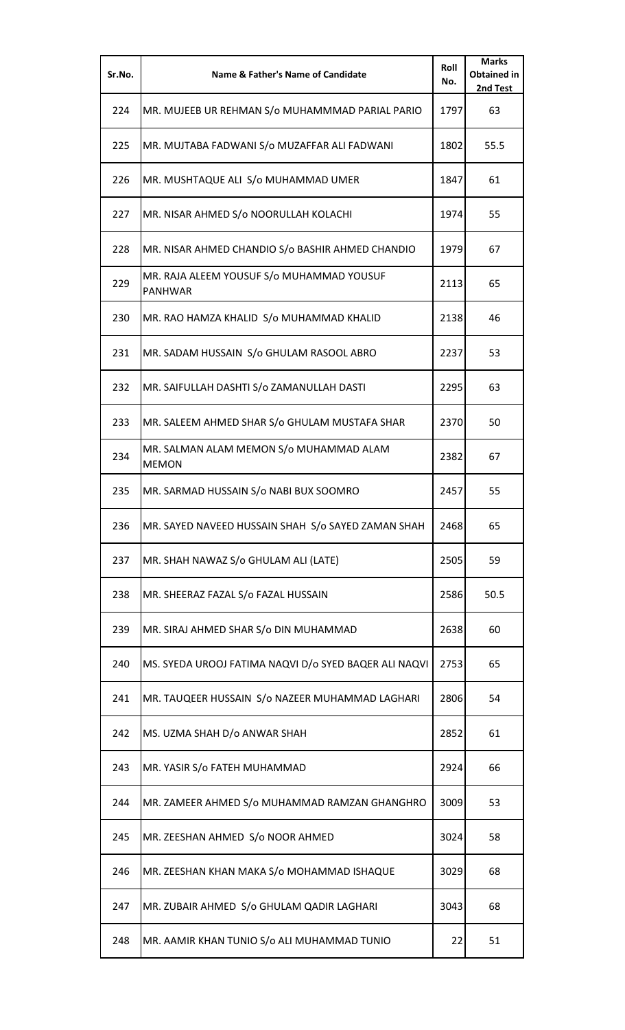| Sr.No. | <b>Name &amp; Father's Name of Candidate</b>                | Roll<br>No. | <b>Marks</b><br><b>Obtained in</b><br>2nd Test |
|--------|-------------------------------------------------------------|-------------|------------------------------------------------|
| 224    | MR. MUJEEB UR REHMAN S/o MUHAMMMAD PARIAL PARIO             | 1797        | 63                                             |
| 225    | MR. MUJTABA FADWANI S/o MUZAFFAR ALI FADWANI                | 1802        | 55.5                                           |
| 226    | MR. MUSHTAQUE ALI S/o MUHAMMAD UMER                         | 1847        | 61                                             |
| 227    | MR. NISAR AHMED S/o NOORULLAH KOLACHI                       | 1974        | 55                                             |
| 228    | MR. NISAR AHMED CHANDIO S/o BASHIR AHMED CHANDIO            | 1979        | 67                                             |
| 229    | MR. RAJA ALEEM YOUSUF S/o MUHAMMAD YOUSUF<br><b>PANHWAR</b> | 2113        | 65                                             |
| 230    | MR. RAO HAMZA KHALID S/o MUHAMMAD KHALID                    | 2138        | 46                                             |
| 231    | MR. SADAM HUSSAIN S/o GHULAM RASOOL ABRO                    | 2237        | 53                                             |
| 232    | MR. SAIFULLAH DASHTI S/o ZAMANULLAH DASTI                   | 2295        | 63                                             |
| 233    | MR. SALEEM AHMED SHAR S/o GHULAM MUSTAFA SHAR               | 2370        | 50                                             |
| 234    | MR. SALMAN ALAM MEMON S/o MUHAMMAD ALAM<br><b>MEMON</b>     | 2382        | 67                                             |
| 235    | MR. SARMAD HUSSAIN S/o NABI BUX SOOMRO                      | 2457        | 55                                             |
| 236    | MR. SAYED NAVEED HUSSAIN SHAH S/o SAYED ZAMAN SHAH          | 2468        | 65                                             |
| 237    | MR. SHAH NAWAZ S/o GHULAM ALI (LATE)                        | 2505        | 59                                             |
| 238    | MR. SHEERAZ FAZAL S/o FAZAL HUSSAIN                         | 2586        | 50.5                                           |
| 239    | MR. SIRAJ AHMED SHAR S/o DIN MUHAMMAD                       | 2638        | 60                                             |
| 240    | MS. SYEDA UROOJ FATIMA NAQVI D/o SYED BAQER ALI NAQVI       | 2753        | 65                                             |
| 241    | MR. TAUQEER HUSSAIN S/o NAZEER MUHAMMAD LAGHARI             | 2806        | 54                                             |
| 242    | MS. UZMA SHAH D/o ANWAR SHAH                                | 2852        | 61                                             |
| 243    | MR. YASIR S/o FATEH MUHAMMAD                                | 2924        | 66                                             |
| 244    | MR. ZAMEER AHMED S/o MUHAMMAD RAMZAN GHANGHRO               | 3009        | 53                                             |
| 245    | MR. ZEESHAN AHMED S/o NOOR AHMED                            | 3024        | 58                                             |
| 246    | MR. ZEESHAN KHAN MAKA S/o MOHAMMAD ISHAQUE                  | 3029        | 68                                             |
| 247    | MR. ZUBAIR AHMED S/o GHULAM QADIR LAGHARI                   | 3043        | 68                                             |
| 248    | MR. AAMIR KHAN TUNIO S/o ALI MUHAMMAD TUNIO                 | 22          | 51                                             |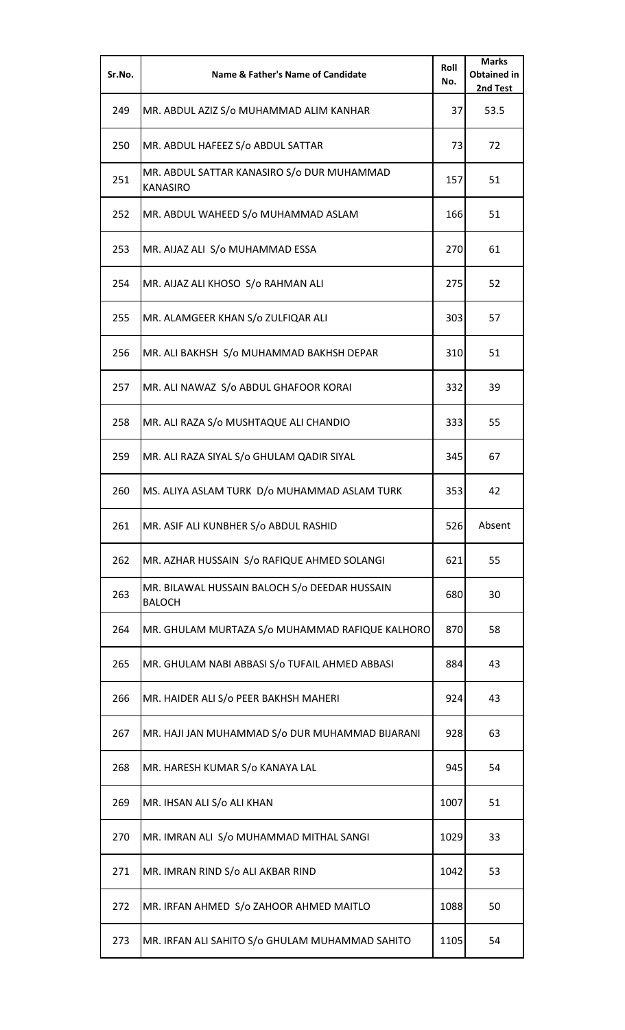| Sr.No. | <b>Name &amp; Father's Name of Candidate</b>                   | Roll<br>No. | <b>Marks</b><br><b>Obtained in</b><br>2nd Test |
|--------|----------------------------------------------------------------|-------------|------------------------------------------------|
| 249    | MR. ABDUL AZIZ S/o MUHAMMAD ALIM KANHAR                        | 37          | 53.5                                           |
| 250    | MR. ABDUL HAFEEZ S/o ABDUL SATTAR                              | 73          | 72                                             |
| 251    | MR. ABDUL SATTAR KANASIRO S/o DUR MUHAMMAD<br><b>KANASIRO</b>  | 157         | 51                                             |
| 252    | MR. ABDUL WAHEED S/o MUHAMMAD ASLAM                            | 166         | 51                                             |
| 253    | MR. AIJAZ ALI S/o MUHAMMAD ESSA                                | 270         | 61                                             |
| 254    | MR. AIJAZ ALI KHOSO S/o RAHMAN ALI                             | 275         | 52                                             |
| 255    | MR. ALAMGEER KHAN S/o ZULFIQAR ALI                             | 303         | 57                                             |
| 256    | MR. ALI BAKHSH S/o MUHAMMAD BAKHSH DEPAR                       | 310         | 51                                             |
| 257    | MR. ALI NAWAZ S/o ABDUL GHAFOOR KORAI                          | 332         | 39                                             |
| 258    | MR. ALI RAZA S/o MUSHTAQUE ALI CHANDIO                         | 333         | 55                                             |
| 259    | MR. ALI RAZA SIYAL S/o GHULAM QADIR SIYAL                      | 345         | 67                                             |
| 260    | MS. ALIYA ASLAM TURK D/o MUHAMMAD ASLAM TURK                   | 353         | 42                                             |
| 261    | MR. ASIF ALI KUNBHER S/o ABDUL RASHID                          | 526         | Absent                                         |
| 262    | MR. AZHAR HUSSAIN S/o RAFIQUE AHMED SOLANGI                    | 621         | 55                                             |
| 263    | MR. BILAWAL HUSSAIN BALOCH S/o DEEDAR HUSSAIN<br><b>BALOCH</b> | 680         | 30                                             |
| 264    | MR. GHULAM MURTAZA S/o MUHAMMAD RAFIQUE KALHORO                | 870         | 58                                             |
| 265    | MR. GHULAM NABI ABBASI S/o TUFAIL AHMED ABBASI                 | 884         | 43                                             |
| 266    | MR. HAIDER ALI S/o PEER BAKHSH MAHERI                          | 924         | 43                                             |
| 267    | MR. HAJI JAN MUHAMMAD S/o DUR MUHAMMAD BIJARANI                | 928         | 63                                             |
| 268    | MR. HARESH KUMAR S/o KANAYA LAL                                | 945         | 54                                             |
| 269    | MR. IHSAN ALI S/o ALI KHAN                                     | 1007        | 51                                             |
| 270    | MR. IMRAN ALI S/o MUHAMMAD MITHAL SANGI                        | 1029        | 33                                             |
| 271    | MR. IMRAN RIND S/o ALI AKBAR RIND                              | 1042        | 53                                             |
| 272    | MR. IRFAN AHMED S/o ZAHOOR AHMED MAITLO                        | 1088        | 50                                             |
| 273    | MR. IRFAN ALI SAHITO S/o GHULAM MUHAMMAD SAHITO                | 1105        | 54                                             |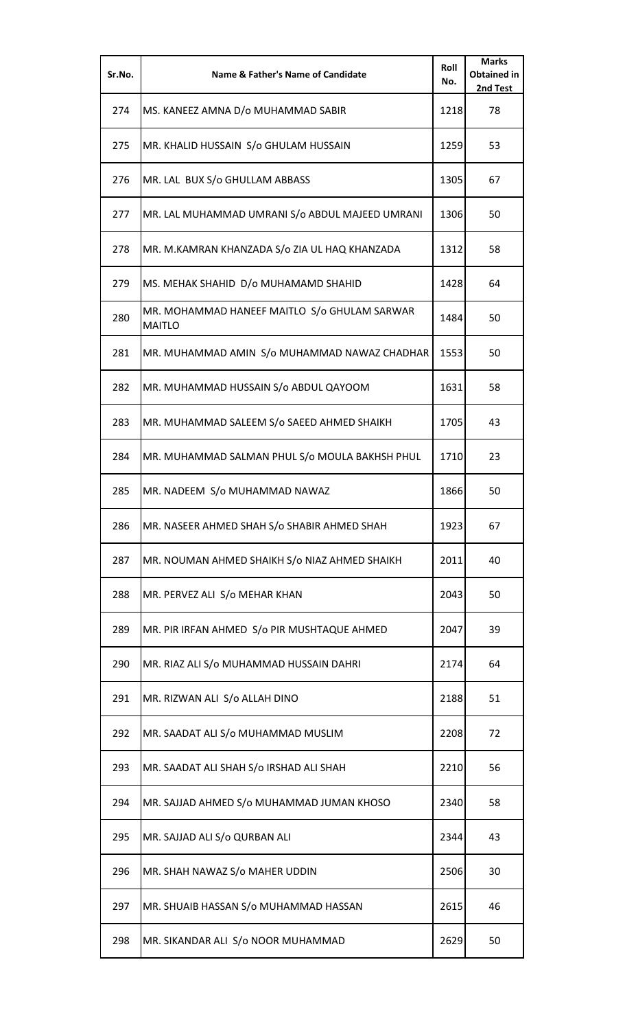| Sr.No. | <b>Name &amp; Father's Name of Candidate</b>                  | Roll<br>No. | <b>Marks</b><br><b>Obtained in</b><br>2nd Test |
|--------|---------------------------------------------------------------|-------------|------------------------------------------------|
| 274    | MS. KANEEZ AMNA D/o MUHAMMAD SABIR                            | 1218        | 78                                             |
| 275    | MR. KHALID HUSSAIN S/o GHULAM HUSSAIN                         | 1259        | 53                                             |
| 276    | MR. LAL BUX S/o GHULLAM ABBASS                                | 1305        | 67                                             |
| 277    | MR. LAL MUHAMMAD UMRANI S/o ABDUL MAJEED UMRANI               | 1306        | 50                                             |
| 278    | MR. M.KAMRAN KHANZADA S/o ZIA UL HAQ KHANZADA                 | 1312        | 58                                             |
| 279    | MS. MEHAK SHAHID D/o MUHAMAMD SHAHID                          | 1428        | 64                                             |
| 280    | MR. MOHAMMAD HANEEF MAITLO S/o GHULAM SARWAR<br><b>MAITLO</b> | 1484        | 50                                             |
| 281    | MR. MUHAMMAD AMIN S/o MUHAMMAD NAWAZ CHADHAR                  | 1553        | 50                                             |
| 282    | MR. MUHAMMAD HUSSAIN S/o ABDUL QAYOOM                         | 1631        | 58                                             |
| 283    | MR. MUHAMMAD SALEEM S/o SAEED AHMED SHAIKH                    | 1705        | 43                                             |
| 284    | MR. MUHAMMAD SALMAN PHUL S/o MOULA BAKHSH PHUL                | 1710        | 23                                             |
| 285    | MR. NADEEM S/o MUHAMMAD NAWAZ                                 | 1866        | 50                                             |
| 286    | MR. NASEER AHMED SHAH S/o SHABIR AHMED SHAH                   | 1923        | 67                                             |
| 287    | MR. NOUMAN AHMED SHAIKH S/o NIAZ AHMED SHAIKH                 | 2011        | 40                                             |
| 288    | MR. PERVEZ ALI S/o MEHAR KHAN                                 | 2043        | 50                                             |
| 289    | MR. PIR IRFAN AHMED S/o PIR MUSHTAQUE AHMED                   | 2047        | 39                                             |
| 290    | MR. RIAZ ALI S/o MUHAMMAD HUSSAIN DAHRI                       | 2174        | 64                                             |
| 291    | MR. RIZWAN ALI S/o ALLAH DINO                                 | 2188        | 51                                             |
| 292    | MR. SAADAT ALI S/o MUHAMMAD MUSLIM                            | 2208        | 72                                             |
| 293    | MR. SAADAT ALI SHAH S/o IRSHAD ALI SHAH                       | 2210        | 56                                             |
| 294    | MR. SAJJAD AHMED S/o MUHAMMAD JUMAN KHOSO                     | 2340        | 58                                             |
| 295    | MR. SAJJAD ALI S/o QURBAN ALI                                 | 2344        | 43                                             |
| 296    | MR. SHAH NAWAZ S/o MAHER UDDIN                                | 2506        | 30                                             |
| 297    | MR. SHUAIB HASSAN S/o MUHAMMAD HASSAN                         | 2615        | 46                                             |
| 298    | MR. SIKANDAR ALI S/o NOOR MUHAMMAD                            | 2629        | 50                                             |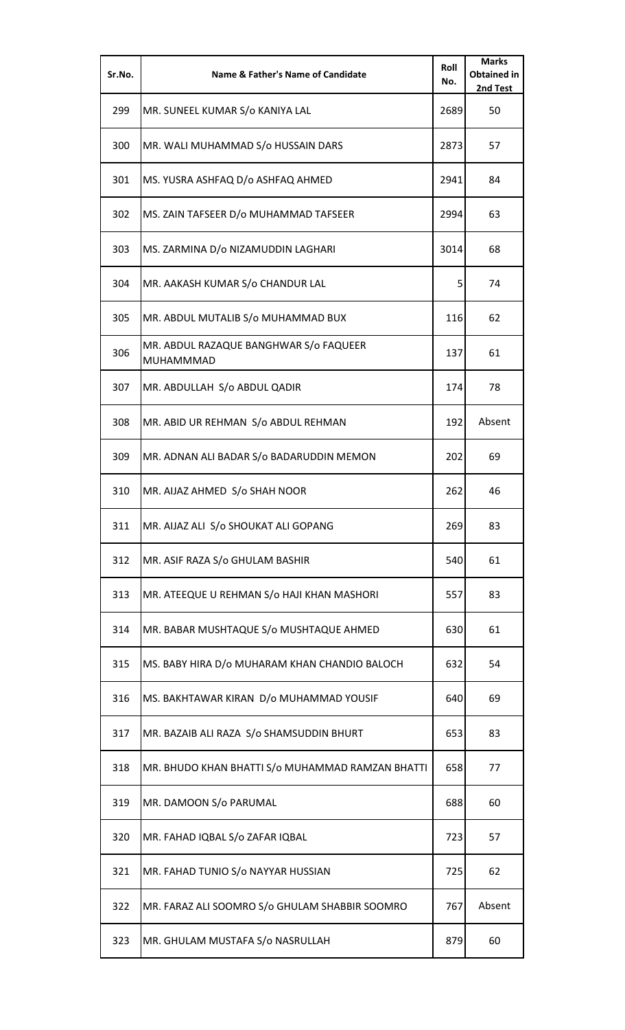| Sr.No. | Name & Father's Name of Candidate                   | Roll<br>No. | <b>Marks</b><br><b>Obtained in</b><br>2nd Test |
|--------|-----------------------------------------------------|-------------|------------------------------------------------|
| 299    | MR. SUNEEL KUMAR S/o KANIYA LAL                     | 2689        | 50                                             |
| 300    | MR. WALI MUHAMMAD S/o HUSSAIN DARS                  | 2873        | 57                                             |
| 301    | MS. YUSRA ASHFAQ D/o ASHFAQ AHMED                   | 2941        | 84                                             |
| 302    | MS. ZAIN TAFSEER D/o MUHAMMAD TAFSEER               | 2994        | 63                                             |
| 303    | MS. ZARMINA D/o NIZAMUDDIN LAGHARI                  | 3014        | 68                                             |
| 304    | MR. AAKASH KUMAR S/o CHANDUR LAL                    | 5           | 74                                             |
| 305    | MR. ABDUL MUTALIB S/o MUHAMMAD BUX                  | 116         | 62                                             |
| 306    | MR. ABDUL RAZAQUE BANGHWAR S/o FAQUEER<br>MUHAMMMAD | 137         | 61                                             |
| 307    | MR. ABDULLAH S/o ABDUL QADIR                        | 174         | 78                                             |
| 308    | MR. ABID UR REHMAN S/o ABDUL REHMAN                 | 192         | Absent                                         |
| 309    | MR. ADNAN ALI BADAR S/o BADARUDDIN MEMON            | 202         | 69                                             |
| 310    | MR. AIJAZ AHMED S/o SHAH NOOR                       | 262         | 46                                             |
| 311    | MR. AIJAZ ALI S/o SHOUKAT ALI GOPANG                | 269         | 83                                             |
| 312    | MR. ASIF RAZA S/o GHULAM BASHIR                     | 540         | 61                                             |
| 313    | MR. ATEEQUE U REHMAN S/o HAJI KHAN MASHORI          | 557         | 83                                             |
| 314    | MR. BABAR MUSHTAQUE S/o MUSHTAQUE AHMED             | 630         | 61                                             |
| 315    | MS. BABY HIRA D/o MUHARAM KHAN CHANDIO BALOCH       | 632         | 54                                             |
| 316    | MS. BAKHTAWAR KIRAN D/o MUHAMMAD YOUSIF             | 640         | 69                                             |
| 317    | MR. BAZAIB ALI RAZA S/o SHAMSUDDIN BHURT            | 653         | 83                                             |
| 318    | MR. BHUDO KHAN BHATTI S/o MUHAMMAD RAMZAN BHATTI    | 658         | 77                                             |
| 319    | MR. DAMOON S/o PARUMAL                              | 688         | 60                                             |
| 320    | MR. FAHAD IQBAL S/o ZAFAR IQBAL                     | 723         | 57                                             |
| 321    | MR. FAHAD TUNIO S/o NAYYAR HUSSIAN                  | 725         | 62                                             |
| 322    | MR. FARAZ ALI SOOMRO S/o GHULAM SHABBIR SOOMRO      | 767         | Absent                                         |
| 323    | MR. GHULAM MUSTAFA S/o NASRULLAH                    | 879         | 60                                             |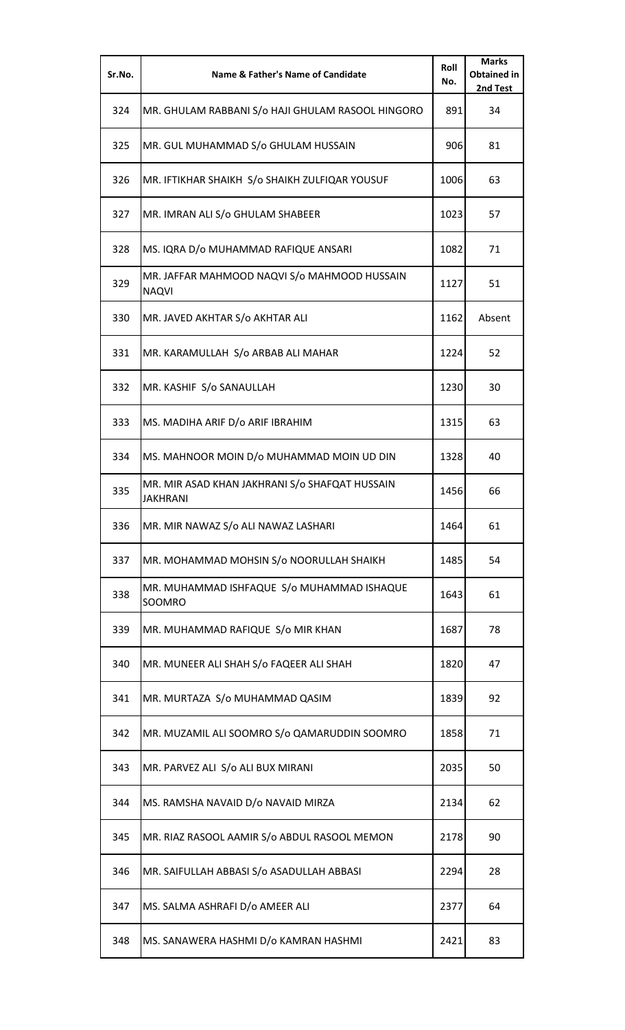| Sr.No. | <b>Name &amp; Father's Name of Candidate</b>                      | Roll<br>No. | <b>Marks</b><br><b>Obtained in</b><br>2nd Test |
|--------|-------------------------------------------------------------------|-------------|------------------------------------------------|
| 324    | MR. GHULAM RABBANI S/o HAJI GHULAM RASOOL HINGORO                 | 891         | 34                                             |
| 325    | MR. GUL MUHAMMAD S/o GHULAM HUSSAIN                               | 906         | 81                                             |
| 326    | MR. IFTIKHAR SHAIKH S/o SHAIKH ZULFIQAR YOUSUF                    | 1006        | 63                                             |
| 327    | MR. IMRAN ALI S/o GHULAM SHABEER                                  | 1023        | 57                                             |
| 328    | MS. IQRA D/o MUHAMMAD RAFIQUE ANSARI                              | 1082        | 71                                             |
| 329    | MR. JAFFAR MAHMOOD NAQVI S/o MAHMOOD HUSSAIN<br><b>NAQVI</b>      | 1127        | 51                                             |
| 330    | MR. JAVED AKHTAR S/o AKHTAR ALI                                   | 1162        | Absent                                         |
| 331    | MR. KARAMULLAH S/o ARBAB ALI MAHAR                                | 1224        | 52                                             |
| 332    | MR. KASHIF S/o SANAULLAH                                          | 1230        | 30                                             |
| 333    | MS. MADIHA ARIF D/o ARIF IBRAHIM                                  | 1315        | 63                                             |
| 334    | MS. MAHNOOR MOIN D/o MUHAMMAD MOIN UD DIN                         | 1328        | 40                                             |
| 335    | MR. MIR ASAD KHAN JAKHRANI S/o SHAFQAT HUSSAIN<br><b>JAKHRANI</b> | 1456        | 66                                             |
| 336    | MR. MIR NAWAZ S/o ALI NAWAZ LASHARI                               | 1464        | 61                                             |
| 337    | MR. MOHAMMAD MOHSIN S/o NOORULLAH SHAIKH                          | 1485        | 54                                             |
| 338    | MR. MUHAMMAD ISHFAQUE S/o MUHAMMAD ISHAQUE<br>SOOMRO              | 1643        | 61                                             |
| 339    | MR. MUHAMMAD RAFIQUE S/o MIR KHAN                                 | 1687        | 78                                             |
| 340    | MR. MUNEER ALI SHAH S/o FAQEER ALI SHAH                           | 1820        | 47                                             |
| 341    | MR. MURTAZA S/o MUHAMMAD QASIM                                    | 1839        | 92                                             |
| 342    | MR. MUZAMIL ALI SOOMRO S/o QAMARUDDIN SOOMRO                      | 1858        | 71                                             |
| 343    | MR. PARVEZ ALI S/o ALI BUX MIRANI                                 | 2035        | 50                                             |
| 344    | MS. RAMSHA NAVAID D/o NAVAID MIRZA                                | 2134        | 62                                             |
| 345    | MR. RIAZ RASOOL AAMIR S/o ABDUL RASOOL MEMON                      | 2178        | 90                                             |
| 346    | MR. SAIFULLAH ABBASI S/o ASADULLAH ABBASI                         | 2294        | 28                                             |
| 347    | MS. SALMA ASHRAFI D/o AMEER ALI                                   | 2377        | 64                                             |
| 348    | MS. SANAWERA HASHMI D/o KAMRAN HASHMI                             | 2421        | 83                                             |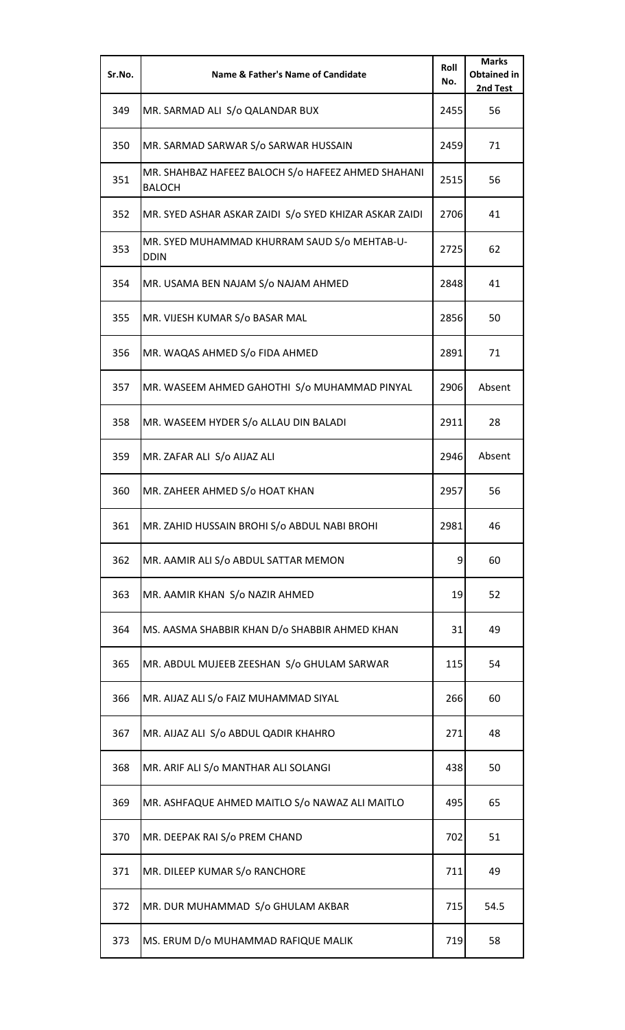| Sr.No. | Name & Father's Name of Candidate                                   | Roll<br>No. | <b>Marks</b><br><b>Obtained in</b><br>2nd Test |
|--------|---------------------------------------------------------------------|-------------|------------------------------------------------|
| 349    | MR. SARMAD ALI S/o QALANDAR BUX                                     | 2455        | 56                                             |
| 350    | MR. SARMAD SARWAR S/o SARWAR HUSSAIN                                | 2459        | 71                                             |
| 351    | MR. SHAHBAZ HAFEEZ BALOCH S/o HAFEEZ AHMED SHAHANI<br><b>BALOCH</b> | 2515        | 56                                             |
| 352    | MR. SYED ASHAR ASKAR ZAIDI S/o SYED KHIZAR ASKAR ZAIDI              | 2706        | 41                                             |
| 353    | MR. SYED MUHAMMAD KHURRAM SAUD S/o MEHTAB-U-<br><b>DDIN</b>         | 2725        | 62                                             |
| 354    | MR. USAMA BEN NAJAM S/o NAJAM AHMED                                 | 2848        | 41                                             |
| 355    | MR. VIJESH KUMAR S/o BASAR MAL                                      | 2856        | 50                                             |
| 356    | MR. WAQAS AHMED S/o FIDA AHMED                                      | 2891        | 71                                             |
| 357    | MR. WASEEM AHMED GAHOTHI S/o MUHAMMAD PINYAL                        | 2906        | Absent                                         |
| 358    | MR. WASEEM HYDER S/o ALLAU DIN BALADI                               | 2911        | 28                                             |
| 359    | MR. ZAFAR ALI S/o AIJAZ ALI                                         | 2946        | Absent                                         |
| 360    | MR. ZAHEER AHMED S/o HOAT KHAN                                      | 2957        | 56                                             |
| 361    | MR. ZAHID HUSSAIN BROHI S/o ABDUL NABI BROHI                        | 2981        | 46                                             |
| 362    | MR. AAMIR ALI S/o ABDUL SATTAR MEMON                                | 9           | 60                                             |
| 363    | MR. AAMIR KHAN S/o NAZIR AHMED                                      | 19          | 52                                             |
| 364    | MS. AASMA SHABBIR KHAN D/o SHABBIR AHMED KHAN                       | 31          | 49                                             |
| 365    | MR. ABDUL MUJEEB ZEESHAN S/o GHULAM SARWAR                          | 115         | 54                                             |
| 366    | MR. AIJAZ ALI S/o FAIZ MUHAMMAD SIYAL                               | 266         | 60                                             |
| 367    | MR. AIJAZ ALI S/o ABDUL QADIR KHAHRO                                | 271         | 48                                             |
| 368    | MR. ARIF ALI S/o MANTHAR ALI SOLANGI                                | 438         | 50                                             |
| 369    | MR. ASHFAQUE AHMED MAITLO S/o NAWAZ ALI MAITLO                      | 495         | 65                                             |
| 370    | MR. DEEPAK RAI S/o PREM CHAND                                       | 702         | 51                                             |
| 371    | MR. DILEEP KUMAR S/o RANCHORE                                       | 711         | 49                                             |
| 372    | MR. DUR MUHAMMAD S/o GHULAM AKBAR                                   | 715         | 54.5                                           |
| 373    | MS. ERUM D/o MUHAMMAD RAFIQUE MALIK                                 | 719         | 58                                             |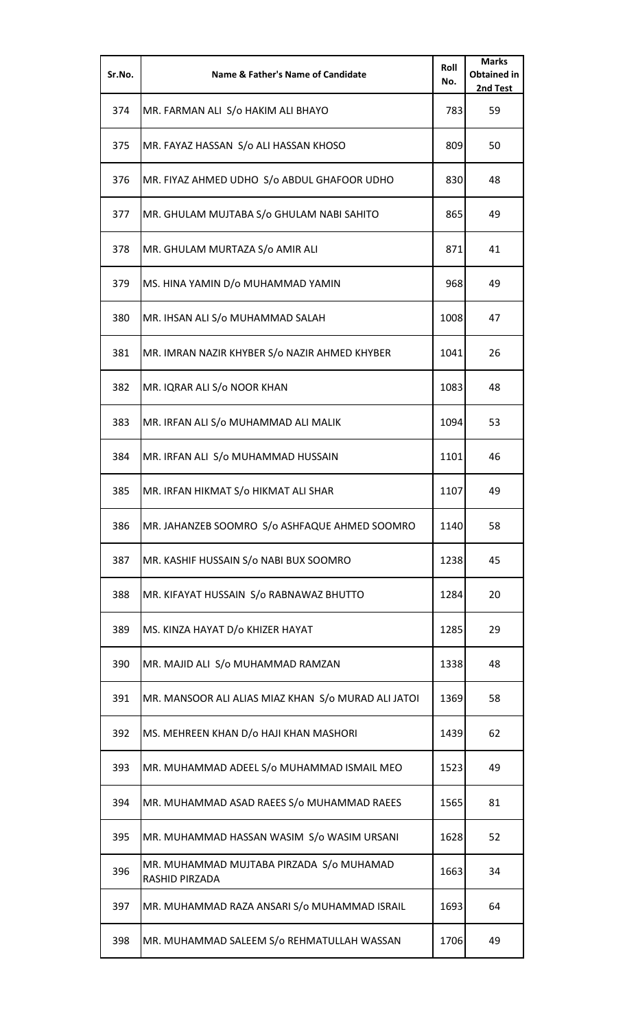| Sr.No. | Name & Father's Name of Candidate                          | Roll<br>No. | <b>Marks</b><br><b>Obtained in</b><br>2nd Test |
|--------|------------------------------------------------------------|-------------|------------------------------------------------|
| 374    | MR. FARMAN ALI S/o HAKIM ALI BHAYO                         | 783         | 59                                             |
| 375    | MR. FAYAZ HASSAN S/o ALI HASSAN KHOSO                      | 809         | 50                                             |
| 376    | MR. FIYAZ AHMED UDHO S/o ABDUL GHAFOOR UDHO                | 830         | 48                                             |
| 377    | MR. GHULAM MUJTABA S/o GHULAM NABI SAHITO                  | 865         | 49                                             |
| 378    | MR. GHULAM MURTAZA S/o AMIR ALI                            | 871         | 41                                             |
| 379    | MS. HINA YAMIN D/o MUHAMMAD YAMIN                          | 968         | 49                                             |
| 380    | MR. IHSAN ALI S/o MUHAMMAD SALAH                           | 1008        | 47                                             |
| 381    | MR. IMRAN NAZIR KHYBER S/o NAZIR AHMED KHYBER              | 1041        | 26                                             |
| 382    | MR. IQRAR ALI S/o NOOR KHAN                                | 1083        | 48                                             |
| 383    | MR. IRFAN ALI S/o MUHAMMAD ALI MALIK                       | 1094        | 53                                             |
| 384    | MR. IRFAN ALI S/o MUHAMMAD HUSSAIN                         | 1101        | 46                                             |
| 385    | MR. IRFAN HIKMAT S/o HIKMAT ALI SHAR                       | 1107        | 49                                             |
| 386    | MR. JAHANZEB SOOMRO S/o ASHFAQUE AHMED SOOMRO              | 1140        | 58                                             |
| 387    | MR. KASHIF HUSSAIN S/o NABI BUX SOOMRO                     | 1238        | 45                                             |
| 388    | MR. KIFAYAT HUSSAIN S/o RABNAWAZ BHUTTO                    | 1284        | 20                                             |
| 389    | MS. KINZA HAYAT D/o KHIZER HAYAT                           | 1285        | 29                                             |
| 390    | MR. MAJID ALI S/o MUHAMMAD RAMZAN                          | 1338        | 48                                             |
| 391    | MR. MANSOOR ALI ALIAS MIAZ KHAN S/o MURAD ALI JATOI        | 1369        | 58                                             |
| 392    | MS. MEHREEN KHAN D/o HAJI KHAN MASHORI                     | 1439        | 62                                             |
| 393    | MR. MUHAMMAD ADEEL S/o MUHAMMAD ISMAIL MEO                 | 1523        | 49                                             |
| 394    | MR. MUHAMMAD ASAD RAEES S/o MUHAMMAD RAEES                 | 1565        | 81                                             |
| 395    | MR. MUHAMMAD HASSAN WASIM S/o WASIM URSANI                 | 1628        | 52                                             |
| 396    | MR. MUHAMMAD MUJTABA PIRZADA S/0 MUHAMAD<br>RASHID PIRZADA | 1663        | 34                                             |
| 397    | MR. MUHAMMAD RAZA ANSARI S/o MUHAMMAD ISRAIL               | 1693        | 64                                             |
| 398    | MR. MUHAMMAD SALEEM S/o REHMATULLAH WASSAN                 | 1706        | 49                                             |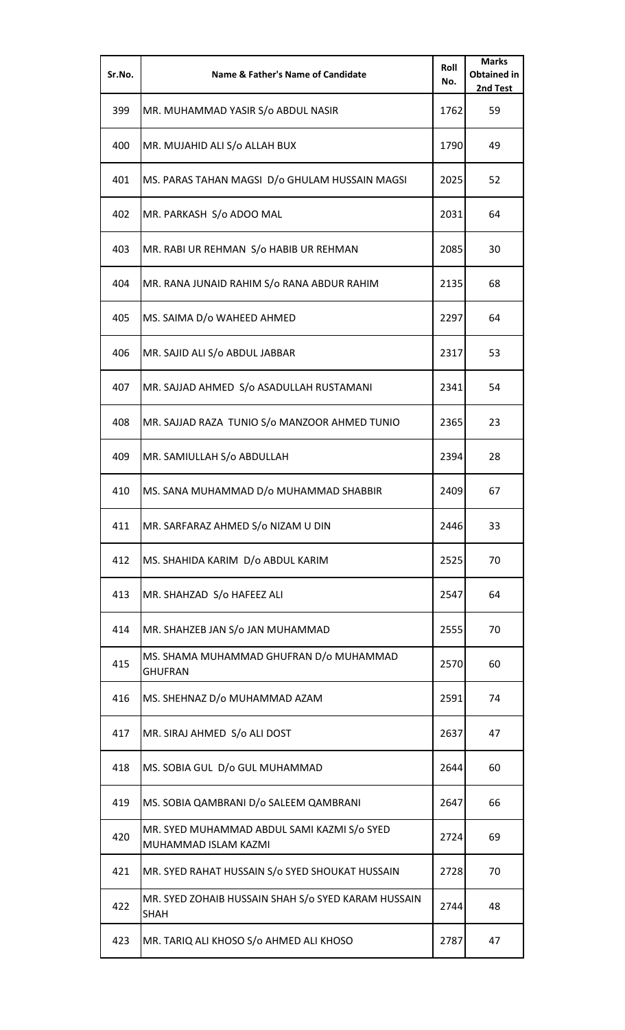| Sr.No. | <b>Name &amp; Father's Name of Candidate</b>                        | Roll<br>No. | <b>Marks</b><br><b>Obtained in</b><br>2nd Test |
|--------|---------------------------------------------------------------------|-------------|------------------------------------------------|
| 399    | MR. MUHAMMAD YASIR S/o ABDUL NASIR                                  | 1762        | 59                                             |
| 400    | MR. MUJAHID ALI S/o ALLAH BUX                                       | 1790        | 49                                             |
| 401    | MS. PARAS TAHAN MAGSI D/o GHULAM HUSSAIN MAGSI                      | 2025        | 52                                             |
| 402    | MR. PARKASH S/o ADOO MAL                                            | 2031        | 64                                             |
| 403    | MR. RABI UR REHMAN S/o HABIB UR REHMAN                              | 2085        | 30                                             |
| 404    | MR. RANA JUNAID RAHIM S/o RANA ABDUR RAHIM                          | 2135        | 68                                             |
| 405    | MS. SAIMA D/o WAHEED AHMED                                          | 2297        | 64                                             |
| 406    | MR. SAJID ALI S/o ABDUL JABBAR                                      | 2317        | 53                                             |
| 407    | MR. SAJJAD AHMED S/o ASADULLAH RUSTAMANI                            | 2341        | 54                                             |
| 408    | MR. SAJJAD RAZA TUNIO S/o MANZOOR AHMED TUNIO                       | 2365        | 23                                             |
| 409    | MR. SAMIULLAH S/o ABDULLAH                                          | 2394        | 28                                             |
| 410    | MS. SANA MUHAMMAD D/o MUHAMMAD SHABBIR                              | 2409        | 67                                             |
| 411    | MR. SARFARAZ AHMED S/o NIZAM U DIN                                  | 2446        | 33                                             |
| 412    | MS. SHAHIDA KARIM D/o ABDUL KARIM                                   | 2525        | 70                                             |
| 413    | MR. SHAHZAD S/o HAFEEZ ALI                                          | 2547        | 64                                             |
| 414    | MR. SHAHZEB JAN S/o JAN MUHAMMAD                                    | 2555        | 70                                             |
| 415    | MS. SHAMA MUHAMMAD GHUFRAN D/o MUHAMMAD<br><b>GHUFRAN</b>           | 2570        | 60                                             |
| 416    | MS. SHEHNAZ D/o MUHAMMAD AZAM                                       | 2591        | 74                                             |
| 417    | MR. SIRAJ AHMED S/o ALI DOST                                        | 2637        | 47                                             |
| 418    | MS. SOBIA GUL D/o GUL MUHAMMAD                                      | 2644        | 60                                             |
| 419    | MS. SOBIA QAMBRANI D/o SALEEM QAMBRANI                              | 2647        | 66                                             |
| 420    | MR. SYED MUHAMMAD ABDUL SAMI KAZMI S/o SYED<br>MUHAMMAD ISLAM KAZMI | 2724        | 69                                             |
| 421    | MR. SYED RAHAT HUSSAIN S/o SYED SHOUKAT HUSSAIN                     | 2728        | 70                                             |
| 422    | MR. SYED ZOHAIB HUSSAIN SHAH S/o SYED KARAM HUSSAIN<br><b>SHAH</b>  | 2744        | 48                                             |
| 423    | MR. TARIQ ALI KHOSO S/o AHMED ALI KHOSO                             | 2787        | 47                                             |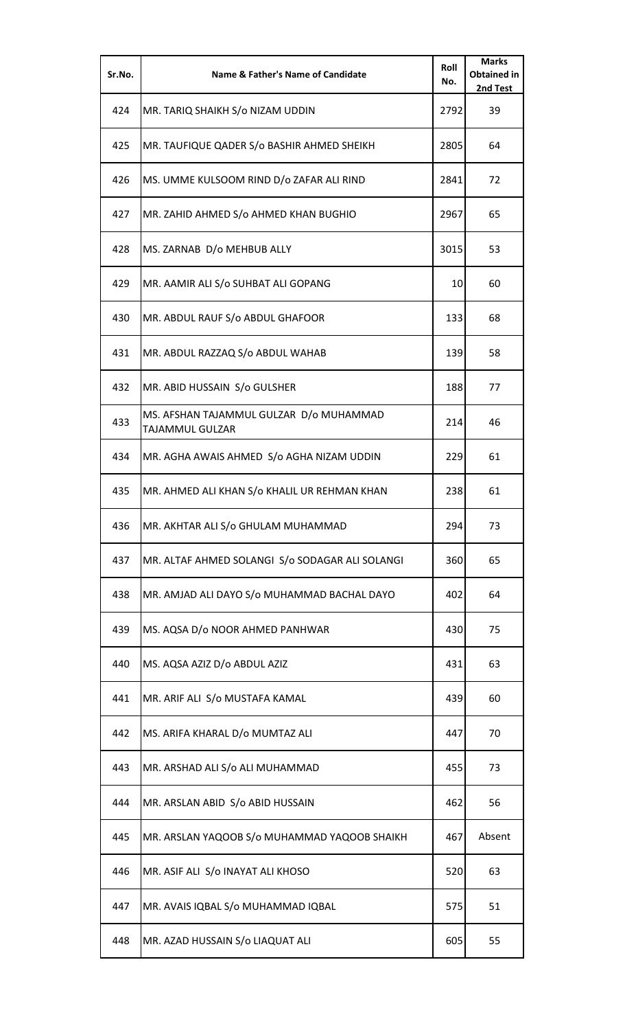| Sr.No. | <b>Name &amp; Father's Name of Candidate</b>               | Roll<br>No. | <b>Marks</b><br><b>Obtained in</b><br>2nd Test |
|--------|------------------------------------------------------------|-------------|------------------------------------------------|
| 424    | MR. TARIQ SHAIKH S/o NIZAM UDDIN                           | 2792        | 39                                             |
| 425    | MR. TAUFIQUE QADER S/o BASHIR AHMED SHEIKH                 | 2805        | 64                                             |
| 426    | MS. UMME KULSOOM RIND D/o ZAFAR ALI RIND                   | 2841        | 72                                             |
| 427    | MR. ZAHID AHMED S/o AHMED KHAN BUGHIO                      | 2967        | 65                                             |
| 428    | MS. ZARNAB D/o MEHBUB ALLY                                 | 3015        | 53                                             |
| 429    | MR. AAMIR ALI S/o SUHBAT ALI GOPANG                        | 10          | 60                                             |
| 430    | MR. ABDUL RAUF S/o ABDUL GHAFOOR                           | 133         | 68                                             |
| 431    | MR. ABDUL RAZZAQ S/o ABDUL WAHAB                           | 139         | 58                                             |
| 432    | MR. ABID HUSSAIN S/o GULSHER                               | 188         | 77                                             |
| 433    | MS. AFSHAN TAJAMMUL GULZAR D/o MUHAMMAD<br>TAJAMMUL GULZAR | 214         | 46                                             |
| 434    | MR. AGHA AWAIS AHMED S/o AGHA NIZAM UDDIN                  | 229         | 61                                             |
| 435    | MR. AHMED ALI KHAN S/o KHALIL UR REHMAN KHAN               | 238         | 61                                             |
| 436    | MR. AKHTAR ALI S/o GHULAM MUHAMMAD                         | 294         | 73                                             |
| 437    | MR. ALTAF AHMED SOLANGI S/o SODAGAR ALI SOLANGI            | 360         | 65                                             |
| 438    | MR. AMJAD ALI DAYO S/o MUHAMMAD BACHAL DAYO                | 402         | 64                                             |
| 439    | MS. AQSA D/o NOOR AHMED PANHWAR                            | 430         | 75                                             |
| 440    | MS. AQSA AZIZ D/o ABDUL AZIZ                               | 431         | 63                                             |
| 441    | MR. ARIF ALI S/o MUSTAFA KAMAL                             | 439         | 60                                             |
| 442    | MS. ARIFA KHARAL D/o MUMTAZ ALI                            | 447         | 70                                             |
| 443    | MR. ARSHAD ALI S/o ALI MUHAMMAD                            | 455         | 73                                             |
| 444    | MR. ARSLAN ABID S/o ABID HUSSAIN                           | 462         | 56                                             |
| 445    | MR. ARSLAN YAQOOB S/o MUHAMMAD YAQOOB SHAIKH               | 467         | Absent                                         |
| 446    | MR. ASIF ALI S/o INAYAT ALI KHOSO                          | 520         | 63                                             |
| 447    | MR. AVAIS IQBAL S/o MUHAMMAD IQBAL                         | 575         | 51                                             |
| 448    | MR. AZAD HUSSAIN S/o LIAQUAT ALI                           | 605         | 55                                             |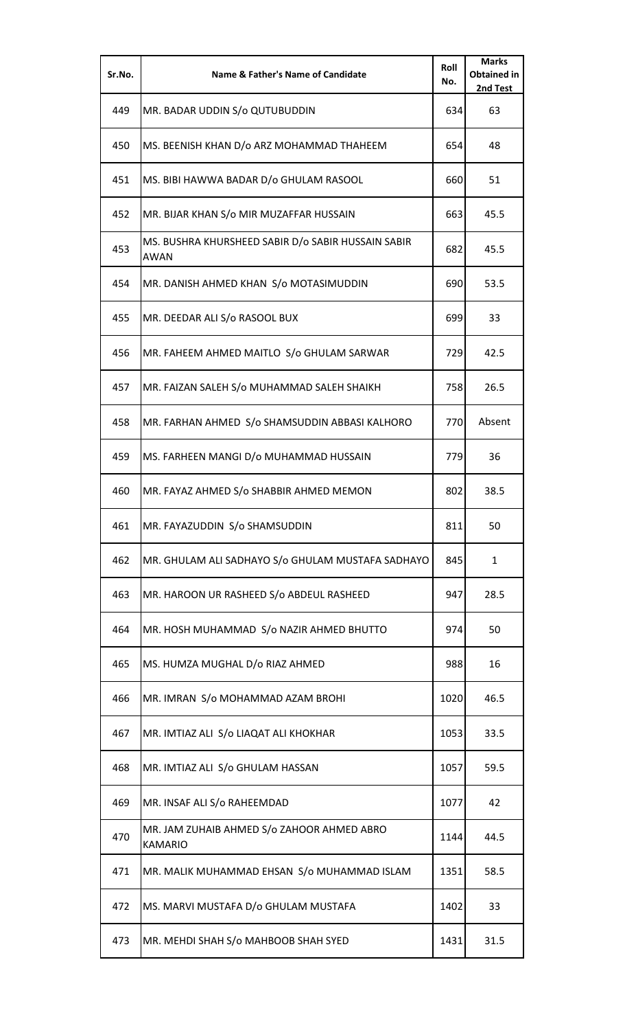| Sr.No. | <b>Name &amp; Father's Name of Candidate</b>                      | Roll<br>No. | <b>Marks</b><br><b>Obtained in</b><br>2nd Test |
|--------|-------------------------------------------------------------------|-------------|------------------------------------------------|
| 449    | MR. BADAR UDDIN S/o QUTUBUDDIN                                    | 634         | 63                                             |
| 450    | MS. BEENISH KHAN D/o ARZ MOHAMMAD THAHEEM                         | 654         | 48                                             |
| 451    | MS. BIBI HAWWA BADAR D/o GHULAM RASOOL                            | 660         | 51                                             |
| 452    | MR. BIJAR KHAN S/o MIR MUZAFFAR HUSSAIN                           | 663         | 45.5                                           |
| 453    | MS. BUSHRA KHURSHEED SABIR D/o SABIR HUSSAIN SABIR<br><b>AWAN</b> | 682         | 45.5                                           |
| 454    | MR. DANISH AHMED KHAN S/o MOTASIMUDDIN                            | 690         | 53.5                                           |
| 455    | MR. DEEDAR ALI S/o RASOOL BUX                                     | 699         | 33                                             |
| 456    | MR. FAHEEM AHMED MAITLO S/o GHULAM SARWAR                         | 729         | 42.5                                           |
| 457    | MR. FAIZAN SALEH S/o MUHAMMAD SALEH SHAIKH                        | 758         | 26.5                                           |
| 458    | MR. FARHAN AHMED S/o SHAMSUDDIN ABBASI KALHORO                    | 770         | Absent                                         |
| 459    | MS. FARHEEN MANGI D/o MUHAMMAD HUSSAIN                            | 779         | 36                                             |
| 460    | MR. FAYAZ AHMED S/o SHABBIR AHMED MEMON                           | 802         | 38.5                                           |
| 461    | MR. FAYAZUDDIN S/o SHAMSUDDIN                                     | 811         | 50                                             |
| 462    | MR. GHULAM ALI SADHAYO S/o GHULAM MUSTAFA SADHAYO                 | 845         | $\mathbf{1}$                                   |
| 463    | MR. HAROON UR RASHEED S/o ABDEUL RASHEED                          | 947         | 28.5                                           |
| 464    | MR. HOSH MUHAMMAD S/o NAZIR AHMED BHUTTO                          | 974         | 50                                             |
| 465    | MS. HUMZA MUGHAL D/o RIAZ AHMED                                   | 988         | 16                                             |
| 466    | MR. IMRAN S/o MOHAMMAD AZAM BROHI                                 | 1020        | 46.5                                           |
| 467    | MR. IMTIAZ ALI S/o LIAQAT ALI KHOKHAR                             | 1053        | 33.5                                           |
| 468    | MR. IMTIAZ ALI S/o GHULAM HASSAN                                  | 1057        | 59.5                                           |
| 469    | MR. INSAF ALI S/o RAHEEMDAD                                       | 1077        | 42                                             |
| 470    | MR. JAM ZUHAIB AHMED S/o ZAHOOR AHMED ABRO<br><b>KAMARIO</b>      | 1144        | 44.5                                           |
| 471    | MR. MALIK MUHAMMAD EHSAN S/o MUHAMMAD ISLAM                       | 1351        | 58.5                                           |
| 472    | MS. MARVI MUSTAFA D/o GHULAM MUSTAFA                              | 1402        | 33                                             |
| 473    | MR. MEHDI SHAH S/o MAHBOOB SHAH SYED                              | 1431        | 31.5                                           |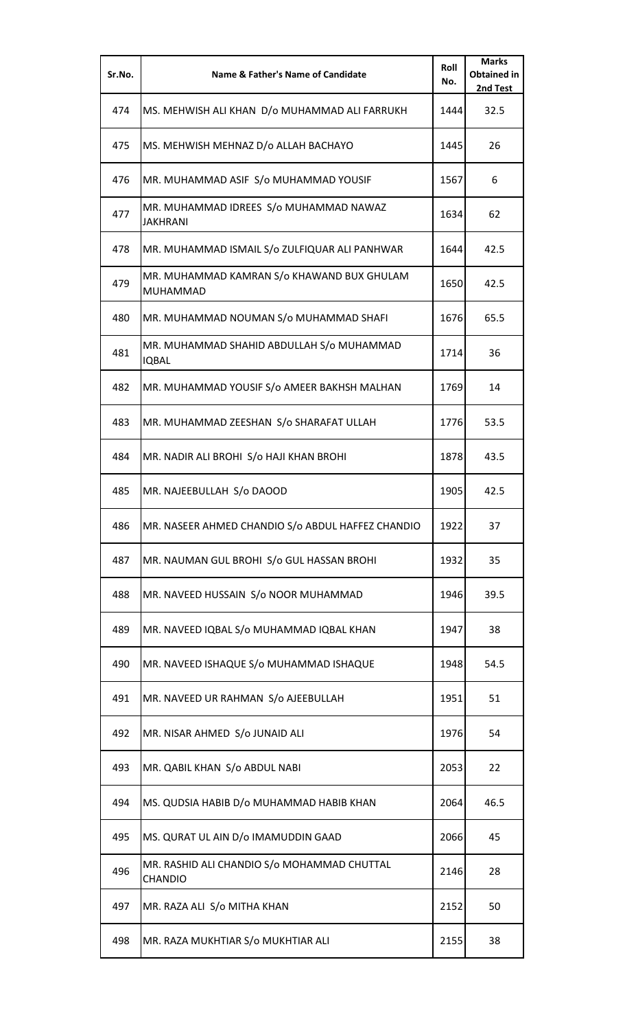| Sr.No. | Name & Father's Name of Candidate                         | Roll<br>No. | <b>Marks</b><br><b>Obtained in</b><br>2nd Test |
|--------|-----------------------------------------------------------|-------------|------------------------------------------------|
| 474    | MS. MEHWISH ALI KHAN D/o MUHAMMAD ALI FARRUKH             | 1444        | 32.5                                           |
| 475    | MS. MEHWISH MEHNAZ D/o ALLAH BACHAYO                      | 1445        | 26                                             |
| 476    | MR. MUHAMMAD ASIF S/o MUHAMMAD YOUSIF                     | 1567        | 6                                              |
| 477    | MR. MUHAMMAD IDREES S/o MUHAMMAD NAWAZ<br><b>JAKHRANI</b> | 1634        | 62                                             |
| 478    | MR. MUHAMMAD ISMAIL S/o ZULFIQUAR ALI PANHWAR             | 1644        | 42.5                                           |
| 479    | MR. MUHAMMAD KAMRAN S/o KHAWAND BUX GHULAM<br>MUHAMMAD    | 1650        | 42.5                                           |
| 480    | MR. MUHAMMAD NOUMAN S/o MUHAMMAD SHAFI                    | 1676        | 65.5                                           |
| 481    | MR. MUHAMMAD SHAHID ABDULLAH S/o MUHAMMAD<br><b>IQBAL</b> | 1714        | 36                                             |
| 482    | MR. MUHAMMAD YOUSIF S/o AMEER BAKHSH MALHAN               | 1769        | 14                                             |
| 483    | MR. MUHAMMAD ZEESHAN S/o SHARAFAT ULLAH                   | 1776        | 53.5                                           |
| 484    | MR. NADIR ALI BROHI S/o HAJI KHAN BROHI                   | 1878        | 43.5                                           |
| 485    | MR. NAJEEBULLAH S/o DAOOD                                 | 1905        | 42.5                                           |
| 486    | MR. NASEER AHMED CHANDIO S/o ABDUL HAFFEZ CHANDIO         | 1922        | 37                                             |
| 487    | MR. NAUMAN GUL BROHI S/o GUL HASSAN BROHI                 | 1932        | 35                                             |
| 488    | MR. NAVEED HUSSAIN S/o NOOR MUHAMMAD                      | 1946        | 39.5                                           |
| 489    | MR. NAVEED IQBAL S/o MUHAMMAD IQBAL KHAN                  | 1947        | 38                                             |
| 490    | MR. NAVEED ISHAQUE S/o MUHAMMAD ISHAQUE                   | 1948        | 54.5                                           |
| 491    | MR. NAVEED UR RAHMAN S/o AJEEBULLAH                       | 1951        | 51                                             |
| 492    | MR. NISAR AHMED S/o JUNAID ALI                            | 1976        | 54                                             |
| 493    | MR. QABIL KHAN S/o ABDUL NABI                             | 2053        | 22                                             |
| 494    | MS. QUDSIA HABIB D/o MUHAMMAD HABIB KHAN                  | 2064        | 46.5                                           |
| 495    | MS. QURAT UL AIN D/o IMAMUDDIN GAAD                       | 2066        | 45                                             |
| 496    | MR. RASHID ALI CHANDIO S/o MOHAMMAD CHUTTAL<br>CHANDIO    | 2146        | 28                                             |
| 497    | MR. RAZA ALI S/o MITHA KHAN                               | 2152        | 50                                             |
| 498    | MR. RAZA MUKHTIAR S/o MUKHTIAR ALI                        | 2155        | 38                                             |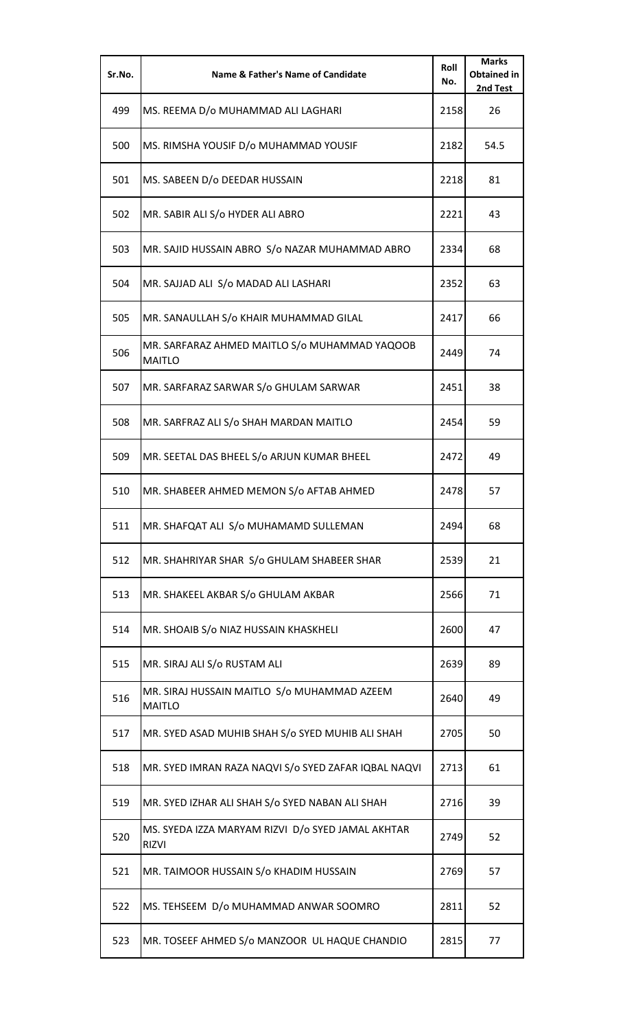| Sr.No. | <b>Name &amp; Father's Name of Candidate</b>                      | Roll<br>No. | <b>Marks</b><br><b>Obtained in</b><br>2nd Test |
|--------|-------------------------------------------------------------------|-------------|------------------------------------------------|
| 499    | MS. REEMA D/o MUHAMMAD ALI LAGHARI                                | 2158        | 26                                             |
| 500    | MS. RIMSHA YOUSIF D/o MUHAMMAD YOUSIF                             | 2182        | 54.5                                           |
| 501    | MS. SABEEN D/o DEEDAR HUSSAIN                                     | 2218        | 81                                             |
| 502    | MR. SABIR ALI S/o HYDER ALI ABRO                                  | 2221        | 43                                             |
| 503    | MR. SAJID HUSSAIN ABRO S/o NAZAR MUHAMMAD ABRO                    | 2334        | 68                                             |
| 504    | MR. SAJJAD ALI S/o MADAD ALI LASHARI                              | 2352        | 63                                             |
| 505    | MR. SANAULLAH S/o KHAIR MUHAMMAD GILAL                            | 2417        | 66                                             |
| 506    | MR. SARFARAZ AHMED MAITLO S/o MUHAMMAD YAQOOB<br><b>MAITLO</b>    | 2449        | 74                                             |
| 507    | MR. SARFARAZ SARWAR S/o GHULAM SARWAR                             | 2451        | 38                                             |
| 508    | MR. SARFRAZ ALI S/o SHAH MARDAN MAITLO                            | 2454        | 59                                             |
| 509    | MR. SEETAL DAS BHEEL S/o ARJUN KUMAR BHEEL                        | 2472        | 49                                             |
| 510    | MR. SHABEER AHMED MEMON S/o AFTAB AHMED                           | 2478        | 57                                             |
| 511    | MR. SHAFQAT ALI S/o MUHAMAMD SULLEMAN                             | 2494        | 68                                             |
| 512    | MR. SHAHRIYAR SHAR S/o GHULAM SHABEER SHAR                        | 2539        | 21                                             |
| 513    | MR. SHAKEEL AKBAR S/o GHULAM AKBAR                                | 2566        | 71                                             |
| 514    | MR. SHOAIB S/o NIAZ HUSSAIN KHASKHELI                             | 2600        | 47                                             |
| 515    | MR. SIRAJ ALI S/o RUSTAM ALI                                      | 2639        | 89                                             |
| 516    | MR. SIRAJ HUSSAIN MAITLO S/o MUHAMMAD AZEEM<br><b>MAITLO</b>      | 2640        | 49                                             |
| 517    | MR. SYED ASAD MUHIB SHAH S/o SYED MUHIB ALI SHAH                  | 2705        | 50                                             |
| 518    | MR. SYED IMRAN RAZA NAQVI S/o SYED ZAFAR IQBAL NAQVI              | 2713        | 61                                             |
| 519    | MR. SYED IZHAR ALI SHAH S/o SYED NABAN ALI SHAH                   | 2716        | 39                                             |
| 520    | MS. SYEDA IZZA MARYAM RIZVI D/o SYED JAMAL AKHTAR<br><b>RIZVI</b> | 2749        | 52                                             |
| 521    | MR. TAIMOOR HUSSAIN S/o KHADIM HUSSAIN                            | 2769        | 57                                             |
| 522    | MS. TEHSEEM D/o MUHAMMAD ANWAR SOOMRO                             | 2811        | 52                                             |
| 523    | MR. TOSEEF AHMED S/o MANZOOR UL HAQUE CHANDIO                     | 2815        | 77                                             |